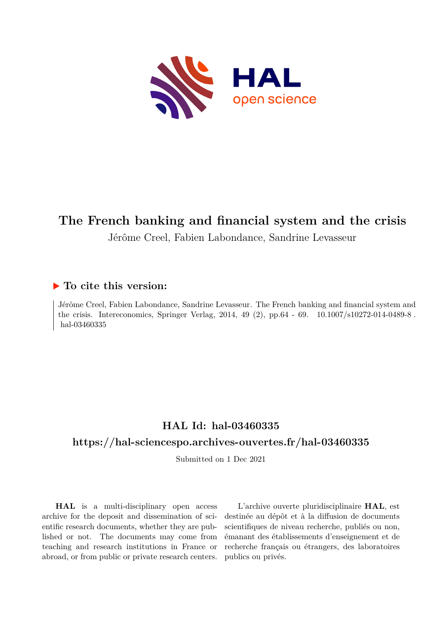

# **The French banking and financial system and the crisis**

Jérôme Creel, Fabien Labondance, Sandrine Levasseur

# **To cite this version:**

Jérôme Creel, Fabien Labondance, Sandrine Levasseur. The French banking and financial system and the crisis. Intereconomics, Springer Verlag, 2014, 49 (2), pp.64 - 69.  $10.1007 \text{/} s10272 \text{-} 014 \text{-} 0489 \text{-} 8$ . hal-03460335

# **HAL Id: hal-03460335**

# **<https://hal-sciencespo.archives-ouvertes.fr/hal-03460335>**

Submitted on 1 Dec 2021

**HAL** is a multi-disciplinary open access archive for the deposit and dissemination of scientific research documents, whether they are published or not. The documents may come from teaching and research institutions in France or abroad, or from public or private research centers.

L'archive ouverte pluridisciplinaire **HAL**, est destinée au dépôt et à la diffusion de documents scientifiques de niveau recherche, publiés ou non, émanant des établissements d'enseignement et de recherche français ou étrangers, des laboratoires publics ou privés.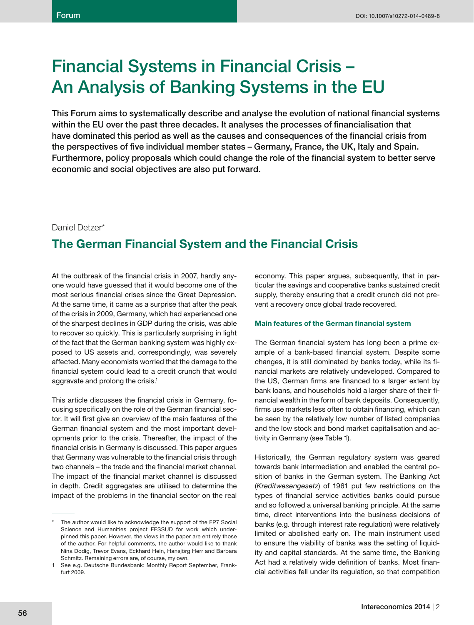# **Financial Systems in Financial Crisis – An Analysis of Banking Systems in the EU**

This Forum aims to systematically describe and analyse the evolution of national financial systems within the EU over the past three decades. It analyses the processes of financialisation that have dominated this period as well as the causes and consequences of the financial crisis from the perspectives of five individual member states – Germany, France, the UK, Italy and Spain. Furthermore, policy proposals which could change the role of the financial system to better serve **economic and social objectives are also put forward.**

#### Daniel Detzer\*

# **The German Financial System and the Financial Crisis**

At the outbreak of the financial crisis in 2007, hardly anyone would have guessed that it would become one of the most serious financial crises since the Great Depression. At the same time, it came as a surprise that after the peak of the crisis in 2009, Germany, which had experienced one of the sharpest declines in GDP during the crisis, was able to recover so quickly. This is particularly surprising in light of the fact that the German banking system was highly exposed to US assets and, correspondingly, was severely affected. Many economists worried that the damage to the financial system could lead to a credit crunch that would aggravate and prolong the crisis.<sup>1</sup>

This article discusses the financial crisis in Germany, focusing specifically on the role of the German financial sector. It will first give an overview of the main features of the German financial system and the most important developments prior to the crisis. Thereafter, the impact of the financial crisis in Germany is discussed. This paper argues that Germany was vulnerable to the financial crisis through two channels – the trade and the financial market channel. The impact of the financial market channel is discussed in depth. Credit aggregates are utilised to determine the impact of the problems in the financial sector on the real

economy. This paper argues, subsequently, that in particular the savings and cooperative banks sustained credit supply, thereby ensuring that a credit crunch did not prevent a recovery once global trade recovered.

#### **Main features of the German financial system**

The German financial system has long been a prime example of a bank-based financial system. Despite some changes, it is still dominated by banks today, while its financial markets are relatively undeveloped. Compared to the US, German firms are financed to a larger extent by bank loans, and households hold a larger share of their financial wealth in the form of bank deposits. Consequently, firms use markets less often to obtain financing, which can be seen by the relatively low number of listed companies and the low stock and bond market capitalisation and activity in Germany (see Table 1).

Historically, the German regulatory system was geared towards bank intermediation and enabled the central position of banks in the German system. The Banking Act (*Kreditwesengesetz*) of 1961 put few restrictions on the types of financial service activities banks could pursue and so followed a universal banking principle. At the same time, direct interventions into the business decisions of banks (e.g. through interest rate regulation) were relatively limited or abolished early on. The main instrument used to ensure the viability of banks was the setting of liquidity and capital standards. At the same time, the Banking Act had a relatively wide definition of banks. Most financial activities fell under its regulation, so that competition

The author would like to acknowledge the support of the FP7 Social Science and Humanities project FESSUD for work which underpinned this paper. However, the views in the paper are entirely those of the author. For helpful comments, the author would like to thank Nina Dodig, Trevor Evans, Eckhard Hein, Hansjörg Herr and Barbara Schmitz. Remaining errors are, of course, my own.

<sup>1</sup> See e.g. Deutsche Bundesbank: Monthly Report September, Frankfurt 2009.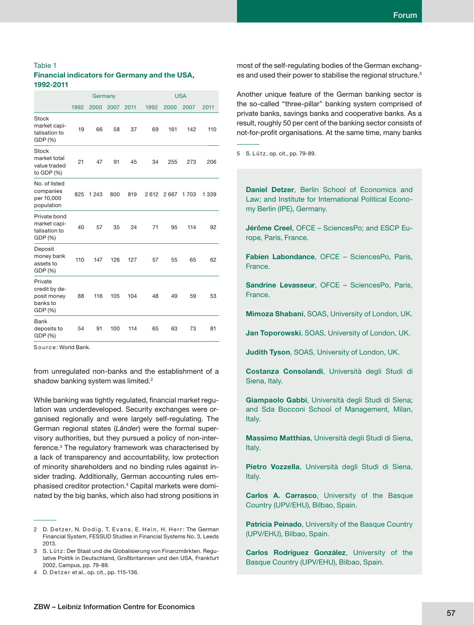#### Table 1 **Financial indicators for Germany and the USA, 1992-2011**

|                                                                | Germany |         |      |      | <b>USA</b> |      |      |         |
|----------------------------------------------------------------|---------|---------|------|------|------------|------|------|---------|
|                                                                | 1992    | 2000    | 2007 | 2011 | 1992       | 2000 | 2007 | 2011    |
| Stock<br>market capi-<br>talisation to<br>GDP (%)              | 19      | 66      | 58   | 37   | 69         | 161  | 142  | 110     |
| Stock<br>market total<br>value traded<br>to GDP (%)            | 21      | 47      | 91   | 45   | 34         | 255  | 273  | 206     |
| No. of listed<br>companies<br>per 10,000<br>population         | 825     | 1 2 4 3 | 800  | 819  | 2612       | 2667 | 1703 | 1 3 3 9 |
| Private bond<br>market capi-<br>talisation to<br>GDP (%)       | 40      | 57      | 35   | 24   | 71         | 95   | 114  | 92      |
| Deposit<br>money bank<br>assets to<br>GDP (%)                  | 110     | 147     | 126  | 127  | 57         | 55   | 65   | 62      |
| Private<br>credit by de-<br>posit money<br>banks to<br>GDP (%) | 88      | 116     | 105  | 104  | 48         | 49   | 59   | 53      |
| Bank<br>deposits to<br>GDP (%)                                 | 54      | 91      | 100  | 114  | 65         | 63   | 73   | 81      |

S o u rc e : World Bank.

from unregulated non-banks and the establishment of a shadow banking system was limited.<sup>2</sup>

While banking was tightly regulated, financial market regulation was underdeveloped. Security exchanges were organised regionally and were largely self-regulating. The German regional states (*Länder*) were the formal supervisory authorities, but they pursued a policy of non-interference.3 The regulatory framework was characterised by a lack of transparency and accountability, low protection of minority shareholders and no binding rules against insider trading. Additionally, German accounting rules emphasised creditor protection.4 Capital markets were dominated by the big banks, which also had strong positions in

most of the self-regulating bodies of the German exchanges and used their power to stabilise the regional structure.<sup>5</sup>

Another unique feature of the German banking sector is the so-called "three-pillar" banking system comprised of private banks, savings banks and cooperative banks. As a result, roughly 50 per cent of the banking sector consists of not-for-profit organisations. At the same time, many banks

5 S. Lütz, op. cit., pp. 79-89.

**Daniel Detzer**, Berlin School of Economics and Law; and Institute for International Political Economy Berlin (IPE), Germany.

**Jérôme Creel**, OFCE – SciencesPo; and ESCP Europe, Paris, France.

**Fabien Labondance**, OFCE – SciencesPo, Paris, France.

**Sandrine Levasseur**, OFCE – SciencesPo, Paris, France.

**Mimoza Shabani**, SOAS, University of London, UK.

**Jan Toporowski**, SOAS, University of London, UK.

**Judith Tyson**, SOAS, University of London, UK.

**Costanza Consolandi**, Università degli Studi di Siena, Italy.

**Giampaolo Gabbi**, Università degli Studi di Siena; and Sda Bocconi School of Management, Milan, Italy.

**Massimo Matthias**, Università degli Studi di Siena, Italy.

**Pietro Vozzella**, Università degli Studi di Siena, Italy.

**Carlos A. Carrasco**, University of the Basque Country (UPV/EHU), Bilbao, Spain.

**Patricia Peinado**, University of the Basque Country (UPV/EHU), Bilbao, Spain.

**Carlos Rodríguez González**, University of the Basque Country (UPV/EHU), Bilbao, Spain.

<sup>2</sup> D. Detzer, N. Dodig, T. Evans, E. Hein, H. Herr: The German Financial System, FESSUD Studies in Financial Systems No. 3, Leeds 2013.

<sup>3</sup> S. Lütz: Der Staat und die Globalisierung von Finanzmärkten. Regulative Politik in Deutschland, Großbritannien und den USA, Frankfurt 2002, Campus, pp. 79-89.

<sup>4</sup> D. Detzer et al., op. cit., pp. 115-136.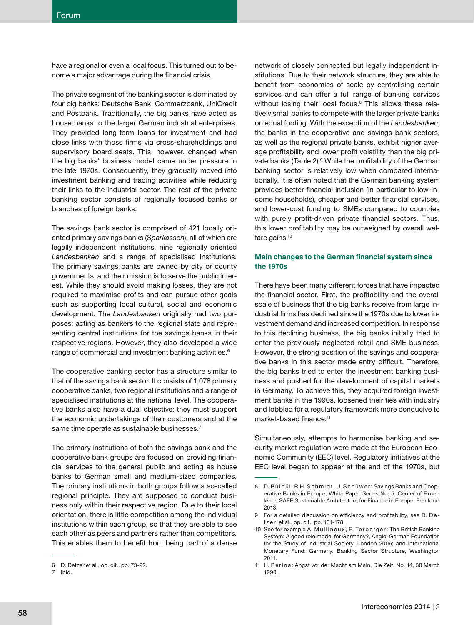have a regional or even a local focus. This turned out to become a major advantage during the financial crisis.

The private segment of the banking sector is dominated by four big banks: Deutsche Bank, Commerzbank, UniCredit and Postbank. Traditionally, the big banks have acted as house banks to the larger German industrial enterprises. They provided long-term loans for investment and had close links with those firms via cross-shareholdings and supervisory board seats. This, however, changed when the big banks' business model came under pressure in the late 1970s. Consequently, they gradually moved into investment banking and trading activities while reducing their links to the industrial sector. The rest of the private banking sector consists of regionally focused banks or branches of foreign banks.

The savings bank sector is comprised of 421 locally oriented primary savings banks (*Sparkassen*), all of which are legally independent institutions, nine regionally oriented *Landesbanken* and a range of specialised institutions. The primary savings banks are owned by city or county governments, and their mission is to serve the public interest. While they should avoid making losses, they are not required to maximise profits and can pursue other goals such as supporting local cultural, social and economic development. The *Landesbanken* originally had two purposes: acting as bankers to the regional state and representing central institutions for the savings banks in their respective regions. However, they also developed a wide range of commercial and investment banking activities.<sup>6</sup>

The cooperative banking sector has a structure similar to that of the savings bank sector. It consists of 1,078 primary cooperative banks, two regional institutions and a range of specialised institutions at the national level. The cooperative banks also have a dual objective: they must support the economic undertakings of their customers and at the same time operate as sustainable businesses.<sup>7</sup>

The primary institutions of both the savings bank and the cooperative bank groups are focused on providing financial services to the general public and acting as house banks to German small and medium-sized companies. The primary institutions in both groups follow a so-called regional principle. They are supposed to conduct business only within their respective region. Due to their local orientation, there is little competition among the individual institutions within each group, so that they are able to see each other as peers and partners rather than competitors. This enables them to benefit from being part of a dense

network of closely connected but legally independent institutions. Due to their network structure, they are able to benefit from economies of scale by centralising certain services and can offer a full range of banking services without losing their local focus.<sup>8</sup> This allows these relatively small banks to compete with the larger private banks on equal footing. With the exception of the *Landesbanken*, the banks in the cooperative and savings bank sectors, as well as the regional private banks, exhibit higher average profitability and lower profit volatility than the big private banks (Table 2).<sup>9</sup> While the profitability of the German banking sector is relatively low when compared internationally, it is often noted that the German banking system provides better financial inclusion (in particular to low-income households), cheaper and better financial services, and lower-cost funding to SMEs compared to countries with purely profit-driven private financial sectors. Thus, this lower profitability may be outweighed by overall welfare gains.<sup>10</sup>

#### **Main changes to the German financial system since the 1970s**

There have been many different forces that have impacted the financial sector. First, the profitability and the overall scale of business that the big banks receive from large industrial firms has declined since the 1970s due to lower investment demand and increased competition. In response to this declining business, the big banks initially tried to enter the previously neglected retail and SME business. However, the strong position of the savings and cooperative banks in this sector made entry difficult. Therefore, the big banks tried to enter the investment banking business and pushed for the development of capital markets in Germany. To achieve this, they acquired foreign investment banks in the 1990s, loosened their ties with industry and lobbied for a regulatory framework more conducive to market-based finance.<sup>11</sup>

Simultaneously, attempts to harmonise banking and security market regulation were made at the European Economic Community (EEC) level. Regulatory initiatives at the EEC level began to appear at the end of the 1970s, but

<sup>6</sup> D. Detzer et al., op. cit., pp. 73-92.

<sup>7</sup> Ibid.

<sup>8</sup> D. Bülbül, R.H. Schmidt, U. Schüwer: Savings Banks and Cooperative Banks in Europe, White Paper Series No. 5, Center of Excellence SAFE Sustainable Architecture for Finance in Europe, Frankfurt 2013.

<sup>9</sup> For a detailed discussion on efficiency and profitability, see D. Detzer et al., op. cit., pp. 151-178.

<sup>10</sup> See for example A. Mullineux, E. Terberger: The British Banking System: A good role model for Germany?, Anglo-German Foundation for the Study of Industrial Society, London 2006; and International Monetary Fund: Germany. Banking Sector Structure, Washington 2011.

<sup>11</sup> U. Perina: Angst vor der Macht am Main, Die Zeit, No. 14, 30 March 1990.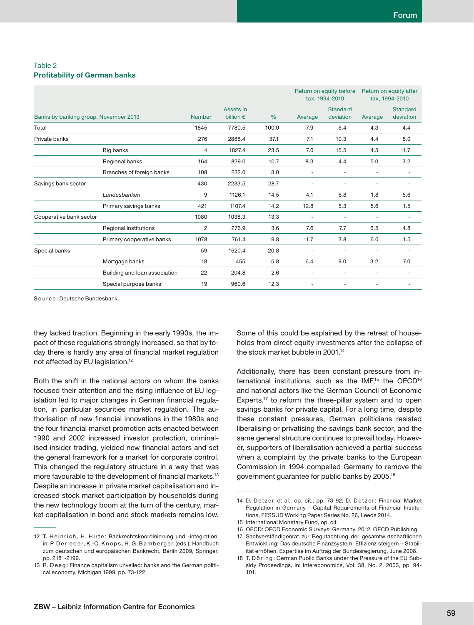#### Table 2 **Profitability of German banks**

|                                       |                               |               |                                 |       | Return on equity before<br>tax, 1994-2010 |                          | Return on equity after<br>tax, 1994-2010 |                              |
|---------------------------------------|-------------------------------|---------------|---------------------------------|-------|-------------------------------------------|--------------------------|------------------------------------------|------------------------------|
| Banks by banking group, November 2013 |                               | <b>Number</b> | Assets in<br>billion $\epsilon$ | %     | Average                                   | Standard<br>deviation    | Average                                  | <b>Standard</b><br>deviation |
| Total                                 |                               | 1845          | 7780.5                          | 100.0 | 7.9                                       | 6.4                      | 4.3                                      | 4.4                          |
| Private banks                         |                               | 276           | 2888.4                          | 37.1  | 7.1                                       | 10.3                     | 4.4                                      | 8.0                          |
|                                       | Big banks                     | 4             | 1827.4                          | 23.5  | 7.0                                       | 15.5                     | 4.5                                      | 11.7                         |
|                                       | Regional banks                | 164           | 829.0                           | 10.7  | 8.3                                       | 4.4                      | 5.0                                      | 3.2                          |
|                                       | Branches of foreign banks     | 108           | 232.0                           | 3.0   |                                           |                          | ٠                                        |                              |
| Savings bank sector                   |                               | 430           | 2233.5                          | 28.7  |                                           |                          | ٠                                        |                              |
|                                       | Landesbanken                  | 9             | 1126.1                          | 14.5  | 4.1                                       | 6.8                      | 1.8                                      | 5.6                          |
|                                       | Primary savings banks         | 421           | 1107.4                          | 14.2  | 12.8                                      | 5.3                      | 5.6                                      | 1.5                          |
| Cooperative bank sector               |                               | 1080          | 1038.3                          | 13.3  | $\overline{\phantom{a}}$                  | $\overline{\phantom{a}}$ | ٠                                        | ٠                            |
|                                       | Regional institutions         | 2             | 276.9                           | 3.6   | 7.6                                       | 7.7                      | 6.5                                      | 4.8                          |
|                                       | Primary cooperative banks     | 1078          | 761.4                           | 9.8   | 11.7                                      | 3.8                      | 6.0                                      | 1.5                          |
| Special banks                         |                               | 59            | 1620.4                          | 20.8  | ٠                                         |                          | $\overline{\phantom{a}}$                 |                              |
|                                       | Mortgage banks                | 18            | 455                             | 5.8   | 6.4                                       | 9.0                      | 3.2                                      | 7.0                          |
|                                       | Building and loan association | 22            | 204.8                           | 2.6   | ۰                                         | ٠                        | ٠                                        |                              |
|                                       | Special purpose banks         | 19            | 960.6                           | 12.3  |                                           |                          | $\overline{\phantom{a}}$                 |                              |

S o u rc e : Deutsche Bundesbank.

they lacked traction. Beginning in the early 1990s, the impact of these regulations strongly increased, so that by today there is hardly any area of financial market regulation not affected by EU legislation.12

Both the shift in the national actors on whom the banks focused their attention and the rising influence of EU legislation led to major changes in German financial regulation, in particular securities market regulation. The authorisation of new financial innovations in the 1980s and the four financial market promotion acts enacted between 1990 and 2002 increased investor protection, criminalised insider trading, yielded new financial actors and set the general framework for a market for corporate control. This changed the regulatory structure in a way that was more favourable to the development of financial markets.<sup>13</sup> Despite an increase in private market capitalisation and increased stock market participation by households during the new technology boom at the turn of the century, market capitalisation in bond and stock markets remains low. Some of this could be explained by the retreat of households from direct equity investments after the collapse of the stock market bubble in 2001.14

Additionally, there has been constant pressure from international institutions, such as the IMF,<sup>15</sup> the OECD<sup>16</sup> and national actors like the German Council of Economic Experts,<sup>17</sup> to reform the three-pillar system and to open savings banks for private capital. For a long time, despite these constant pressures, German politicians resisted liberalising or privatising the savings bank sector, and the same general structure continues to prevail today. However, supporters of liberalisation achieved a partial success when a complaint by the private banks to the European Commission in 1994 compelled Germany to remove the government guarantee for public banks by 2005.18

<sup>12</sup> T. Heinrich, H. Hirte: Bankrechtskoordinierung und -integration, in: P. Derleder, K.-O. Knops, H. G. Bamberger (eds.): Handbuch zum deutschen und europäischen Bankrecht, Berlin 2009, Springer, pp. 2181-2199.

<sup>13</sup> R. Deeq: Finance capitalism unveiled: banks and the German political economy, Michigan 1999, pp. 73-122.

<sup>14</sup> D. Detzer et al., op. cit., pp. 73-92; D. Detzer: Financial Market Regulation in Germany – Capital Requirements of Financial Institutions, FESSUD Working Paper Series No. 26, Leeds 2014.

<sup>15</sup> International Monetary Fund, op. cit.

<sup>16</sup> OECD: OECD Economic Surveys: Germany, 2012, OECD Publishing.

<sup>17</sup> Sachverständigenrat zur Begutachtung der gesamtwirtschaftlichen Entwicklung: Das deutsche Finanzsystem. Effizienz steigern - Stabilität erhöhen, Expertise im Auftrag der Bundesregierung, June 2008.

<sup>18</sup> T. Döring: German Public Banks under the Pressure of the EU Subsidy Proceedings, in: Intereconomics, Vol. 38, No. 2, 2003, pp. 94- 101.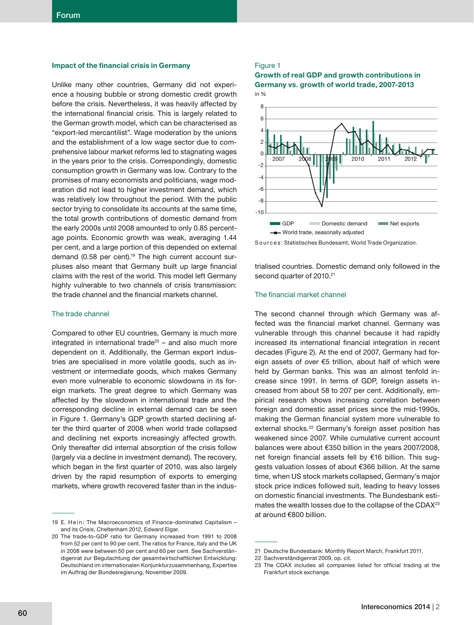#### **Impact of the financial crisis in Germany**

Unlike many other countries, Germany did not experience a housing bubble or strong domestic credit growth before the crisis. Nevertheless, it was heavily affected by the international financial crisis. This is largely related to the German growth model, which can be characterised as "export-led mercantilist". Wage moderation by the unions and the establishment of a low wage sector due to comprehensive labour market reforms led to stagnating wages in the years prior to the crisis. Correspondingly, domestic consumption growth in Germany was low. Contrary to the promises of many economists and politicians, wage moderation did not lead to higher investment demand, which was relatively low throughout the period. With the public sector trying to consolidate its accounts at the same time, the total growth contributions of domestic demand from the early 2000s until 2008 amounted to only 0.85 percentage points. Economic growth was weak, averaging 1.44 per cent, and a large portion of this depended on external demand (0.58 per cent).<sup>19</sup> The high current account surpluses also meant that Germany built up large financial claims with the rest of the world. This model left Germany highly vulnerable to two channels of crisis transmission: the trade channel and the financial markets channel.

#### The trade channel

Compared to other EU countries, Germany is much more integrated in international trade<sup>20</sup> – and also much more dependent on it. Additionally, the German export industries are specialised in more volatile goods, such as investment or intermediate goods, which makes Germany even more vulnerable to economic slowdowns in its foreign markets. The great degree to which Germany was affected by the slowdown in international trade and the corresponding decline in external demand can be seen in Figure 1. Germany's GDP growth started declining after the third quarter of 2008 when world trade collapsed and declining net exports increasingly affected growth. Only thereafter did internal absorption of the crisis follow (largely via a decline in investment demand). The recovery, which began in the first quarter of 2010, was also largely driven by the rapid resumption of exports to emerging markets, where growth recovered faster than in the indus-

#### Figure 1

**Growth of real GDP and growth contributions in Germany vs. growth of world trade, 2007-2013**



Sources: Statistisches Bundesamt, World Trade Organization.

trialised countries. Domestic demand only followed in the second quarter of 2010.<sup>21</sup>

#### The financial market channel

The second channel through which Germany was affected was the financial market channel. Germany was vulnerable through this channel because it had rapidly increased its international financial integration in recent decades (Figure 2). At the end of 2007, Germany had foreign assets of over €5 trillion, about half of which were held by German banks. This was an almost tenfold increase since 1991. In terms of GDP, foreign assets increased from about 58 to 207 per cent. Additionally, empirical research shows increasing correlation between foreign and domestic asset prices since the mid-1990s, making the German financial system more vulnerable to external shocks.<sup>22</sup> Germany's foreign asset position has weakened since 2007. While cumulative current account balances were about €350 billion in the years 2007/2008, net foreign financial assets fell by €16 billion. This suggests valuation losses of about €366 billion. At the same time, when US stock markets collapsed, Germany's major stock price indices followed suit, leading to heavy losses on domestic financial investments. The Bundesbank estimates the wealth losses due to the collapse of the CDAX<sup>23</sup> at around €800 billion.

<sup>19</sup> E. Hein: The Macroeconomics of Finance-dominated Capitalism and its Crisis, Cheltenham 2012, Edward Elgar.

<sup>20</sup> The trade-to-GDP ratio for Germany increased from 1991 to 2008 from 52 per cent to 90 per cent. The ratios for France, Italy and the UK in 2008 were between 50 per cent and 60 per cent. See Sachverständigenrat zur Begutachtung der gesamtwirtschaftlichen Entwicklung: Deutschland im internationalen Konjunkturzusammenhang, Expertise im Auftrag der Bundesregierung, November 2009.

<sup>21</sup> Deutsche Bundesbank: Monthly Report March, Frankfurt 2011.

<sup>22</sup> Sachverständigenrat 2009, op. cit.

<sup>23</sup> The CDAX includes all companies listed for official trading at the Frankfurt stock exchange.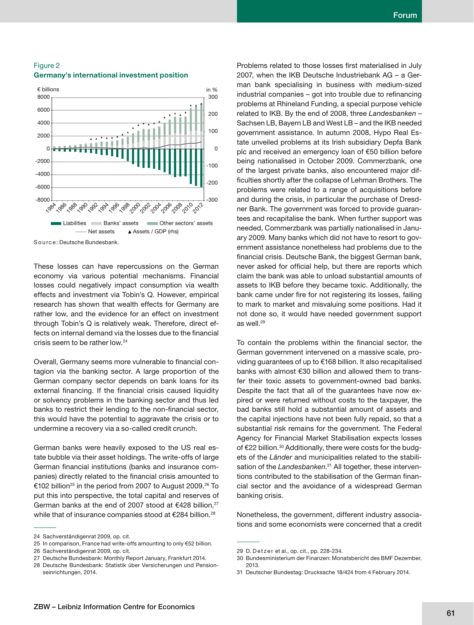#### Figure 2 **Germany's international investment position**



S o u rc e : Deutsche Bundesbank.

These losses can have repercussions on the German economy via various potential mechanisms. Financial losses could negatively impact consumption via wealth effects and investment via Tobin's Q. However, empirical research has shown that wealth effects for Germany are rather low, and the evidence for an effect on investment through Tobin's Q is relatively weak. Therefore, direct effects on internal demand via the losses due to the financial crisis seem to be rather low.<sup>24</sup>

Overall, Germany seems more vulnerable to financial contagion via the banking sector. A large proportion of the German company sector depends on bank loans for its external financing. If the financial crisis caused liquidity or solvency problems in the banking sector and thus led banks to restrict their lending to the non-financial sector, this would have the potential to aggravate the crisis or to undermine a recovery via a so-called credit crunch.

German banks were heavily exposed to the US real estate bubble via their asset holdings. The write-offs of large German financial institutions (banks and insurance companies) directly related to the financial crisis amounted to €102 billion25 in the period from 2007 to August 2009.26 To put this into perspective, the total capital and reserves of German banks at the end of 2007 stood at  $€428$  billion,<sup>27</sup> while that of insurance companies stood at €284 billion.<sup>28</sup>

25 In comparison, France had write-offs amounting to only €52 billion.

Problems related to those losses first materialised in July 2007, when the IKB Deutsche Industriebank AG – a German bank specialising in business with medium-sized industrial companies  $-$  got into trouble due to refinancing problems at Rhineland Funding, a special purpose vehicle related to IKB. By the end of 2008, three *Landesbanken* – Sachsen LB, Bayern LB and West LB – and the IKB needed government assistance. In autumn 2008, Hypo Real Estate unveiled problems at its Irish subsidiary Depfa Bank plc and received an emergency loan of €50 billion before being nationalised in October 2009. Commerzbank, one of the largest private banks, also encountered major difficulties shortly after the collapse of Lehman Brothers. The problems were related to a range of acquisitions before and during the crisis, in particular the purchase of Dresdner Bank. The government was forced to provide guarantees and recapitalise the bank. When further support was needed, Commerzbank was partially nationalised in January 2009. Many banks which did not have to resort to government assistance nonetheless had problems due to the financial crisis. Deutsche Bank, the biggest German bank, never asked for official help, but there are reports which claim the bank was able to unload substantial amounts of assets to IKB before they became toxic. Additionally, the bank came under fire for not registering its losses, failing to mark to market and misvaluing some positions. Had it not done so, it would have needed government support as well.<sup>29</sup>

To contain the problems within the financial sector, the German government intervened on a massive scale, providing guarantees of up to €168 billion. It also recapitalised banks with almost €30 billion and allowed them to transfer their toxic assets to government-owned bad banks. Despite the fact that all of the guarantees have now expired or were returned without costs to the taxpayer, the bad banks still hold a substantial amount of assets and the capital injections have not been fully repaid, so that a substantial risk remains for the government. The Federal Agency for Financial Market Stabilisation expects losses of €22 billion.30 Additionally, there were costs for the budgets of the *Länder* and municipalities related to the stabilisation of the Landesbanken.<sup>31</sup> All together, these interventions contributed to the stabilisation of the German financial sector and the avoidance of a widespread German banking crisis.

Nonetheless, the government, different industry associations and some economists were concerned that a credit

<sup>24</sup> Sachverständigenrat 2009, op. cit.

<sup>26</sup> Sachverständigenrat 2009, op. cit.

<sup>27</sup> Deutsche Bundesbank: Monthly Report January, Frankfurt 2014.

<sup>28</sup> Deutsche Bundesbank: Statistik über Versicherungen und Pensionseinrichtungen, 2014.

<sup>29</sup> D. Detzer et al., op. cit., pp. 228-234.

<sup>30</sup> Bundesministerium der Finanzen: Monatsbericht des BMF Dezember, 2013.

<sup>31</sup> Deutscher Bundestag: Drucksache 18/424 from 4 February 2014.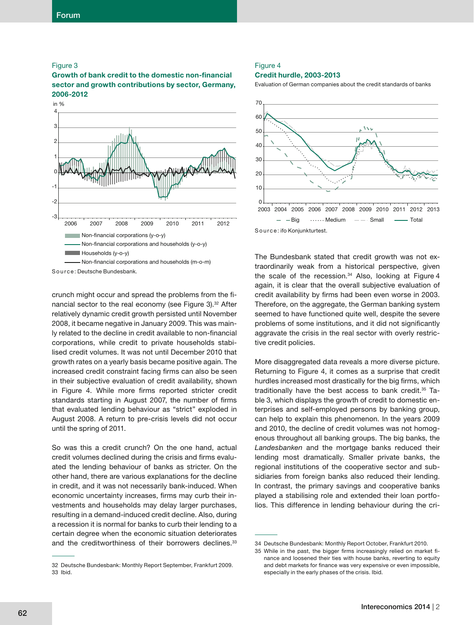#### Figure 3

**Growth of bank credit to the domestic non-financial sector and growth contributions by sector, Germany, 2006-2012**



Source: Deutsche Bundesbank.

crunch might occur and spread the problems from the financial sector to the real economy (see Figure 3).<sup>32</sup> After relatively dynamic credit growth persisted until November 2008, it became negative in January 2009. This was mainly related to the decline in credit available to non-financial corporations, while credit to private households stabilised credit volumes. It was not until December 2010 that growth rates on a yearly basis became positive again. The increased credit constraint facing firms can also be seen in their subjective evaluation of credit availability, shown in Figure 4. While more firms reported stricter credit standards starting in August 2007, the number of firms that evaluated lending behaviour as "strict" exploded in August 2008. A return to pre-crisis levels did not occur until the spring of 2011.

So was this a credit crunch? On the one hand, actual credit volumes declined during the crisis and firms evaluated the lending behaviour of banks as stricter. On the other hand, there are various explanations for the decline in credit, and it was not necessarily bank-induced. When economic uncertainty increases, firms may curb their investments and households may delay larger purchases, resulting in a demand-induced credit decline. Also, during a recession it is normal for banks to curb their lending to a certain degree when the economic situation deteriorates and the creditworthiness of their borrowers declines.<sup>33</sup>

#### Figure 4

#### **Credit hurdle, 2003-2013**

Evaluation of German companies about the credit standards of banks



The Bundesbank stated that credit growth was not extraordinarily weak from a historical perspective, given the scale of the recession.<sup>34</sup> Also, looking at Figure 4 again, it is clear that the overall subjective evaluation of credit availability by firms had been even worse in 2003. Therefore, on the aggregate, the German banking system seemed to have functioned quite well, despite the severe problems of some institutions, and it did not significantly aggravate the crisis in the real sector with overly restrictive credit policies.

More disaggregated data reveals a more diverse picture. Returning to Figure 4, it comes as a surprise that credit hurdles increased most drastically for the big firms, which traditionally have the best access to bank credit.35 Table 3, which displays the growth of credit to domestic enterprises and self-employed persons by banking group, can help to explain this phenomenon. In the years 2009 and 2010, the decline of credit volumes was not homogenous throughout all banking groups. The big banks, the *Landesbanken* and the mortgage banks reduced their lending most dramatically. Smaller private banks, the regional institutions of the cooperative sector and subsidiaries from foreign banks also reduced their lending. In contrast, the primary savings and cooperative banks played a stabilising role and extended their loan portfolios. This difference in lending behaviour during the cri-

<sup>32</sup> Deutsche Bundesbank: Monthly Report September, Frankfurt 2009. 33 Ibid.

<sup>34</sup> Deutsche Bundesbank: Monthly Report October, Frankfurt 2010.

<sup>35</sup> While in the past, the bigger firms increasingly relied on market finance and loosened their ties with house banks, reverting to equity and debt markets for finance was very expensive or even impossible. especially in the early phases of the crisis. Ibid.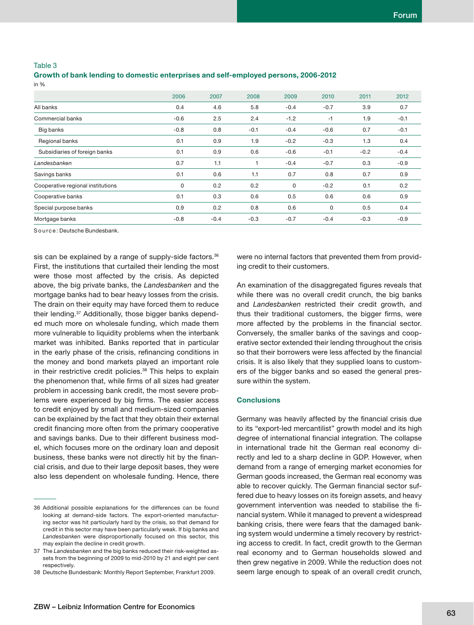Table 3

### **Growth of bank lending to domestic enterprises and self-employed persons, 2006-2012**

in %

|                                   | 2006   | 2007   | 2008   | 2009   | 2010   | 2011   | 2012   |
|-----------------------------------|--------|--------|--------|--------|--------|--------|--------|
| All banks                         | 0.4    | 4.6    | 5.8    | $-0.4$ | $-0.7$ | 3.9    | 0.7    |
| Commercial banks                  | $-0.6$ | 2.5    | 2.4    | $-1.2$ | $-1$   | 1.9    | $-0.1$ |
| Big banks                         | $-0.8$ | 0.8    | $-0.1$ | $-0.4$ | $-0.6$ | 0.7    | $-0.1$ |
| Regional banks                    | 0.1    | 0.9    | 1.9    | $-0.2$ | $-0.3$ | 1.3    | 0.4    |
| Subsidiaries of foreign banks     | 0.1    | 0.9    | 0.6    | $-0.6$ | $-0.1$ | $-0.2$ | $-0.4$ |
| Landesbanken                      | 0.7    | 1.1    |        | $-0.4$ | $-0.7$ | 0.3    | $-0.9$ |
| Savings banks                     | 0.1    | 0.6    | 1.1    | 0.7    | 0.8    | 0.7    | 0.9    |
| Cooperative regional institutions | 0      | 0.2    | 0.2    | 0      | $-0.2$ | 0.1    | 0.2    |
| Cooperative banks                 | 0.1    | 0.3    | 0.6    | 0.5    | 0.6    | 0.6    | 0.9    |
| Special purpose banks             | 0.9    | 0.2    | 0.8    | 0.6    | 0      | 0.5    | 0.4    |
| Mortgage banks                    | $-0.8$ | $-0.4$ | $-0.3$ | $-0.7$ | $-0.4$ | $-0.3$ | $-0.9$ |

Source: Deutsche Bundesbank.

sis can be explained by a range of supply-side factors.<sup>36</sup> First, the institutions that curtailed their lending the most were those most affected by the crisis. As depicted above, the big private banks, the *Landesbanken* and the mortgage banks had to bear heavy losses from the crisis. The drain on their equity may have forced them to reduce their lending.37 Additionally, those bigger banks depended much more on wholesale funding, which made them more vulnerable to liquidity problems when the interbank market was inhibited. Banks reported that in particular in the early phase of the crisis, refinancing conditions in the money and bond markets played an important role in their restrictive credit policies.<sup>38</sup> This helps to explain the phenomenon that, while firms of all sizes had greater problem in accessing bank credit, the most severe problems were experienced by big firms. The easier access to credit enjoyed by small and medium-sized companies can be explained by the fact that they obtain their external credit financing more often from the primary cooperative and savings banks. Due to their different business model, which focuses more on the ordinary loan and deposit business, these banks were not directly hit by the financial crisis, and due to their large deposit bases, they were also less dependent on wholesale funding. Hence, there were no internal factors that prevented them from providing credit to their customers.

An examination of the disaggregated figures reveals that while there was no overall credit crunch, the big banks and *Landesbanken* restricted their credit growth, and thus their traditional customers, the bigger firms, were more affected by the problems in the financial sector. Conversely, the smaller banks of the savings and cooperative sector extended their lending throughout the crisis so that their borrowers were less affected by the financial crisis. It is also likely that they supplied loans to customers of the bigger banks and so eased the general pressure within the system.

#### **Conclusions**

Germany was heavily affected by the financial crisis due to its "export-led mercantilist" growth model and its high degree of international financial integration. The collapse in international trade hit the German real economy directly and led to a sharp decline in GDP. However, when demand from a range of emerging market economies for German goods increased, the German real economy was able to recover quickly. The German financial sector suffered due to heavy losses on its foreign assets, and heavy government intervention was needed to stabilise the financial system. While it managed to prevent a widespread banking crisis, there were fears that the damaged banking system would undermine a timely recovery by restricting access to credit. In fact, credit growth to the German real economy and to German households slowed and then grew negative in 2009. While the reduction does not seem large enough to speak of an overall credit crunch,

<sup>36</sup> Additional possible explanations for the differences can be found looking at demand-side factors. The export-oriented manufacturing sector was hit particularly hard by the crisis, so that demand for credit in this sector may have been particularly weak. If big banks and *Landesbanken* were disproportionally focused on this sector, this may explain the decline in credit growth.

<sup>37</sup> The *Landesbanken* and the big banks reduced their risk-weighted assets from the beginning of 2009 to mid-2010 by 21 and eight per cent respectively.

<sup>38</sup> Deutsche Bundesbank: Monthly Report September, Frankfurt 2009.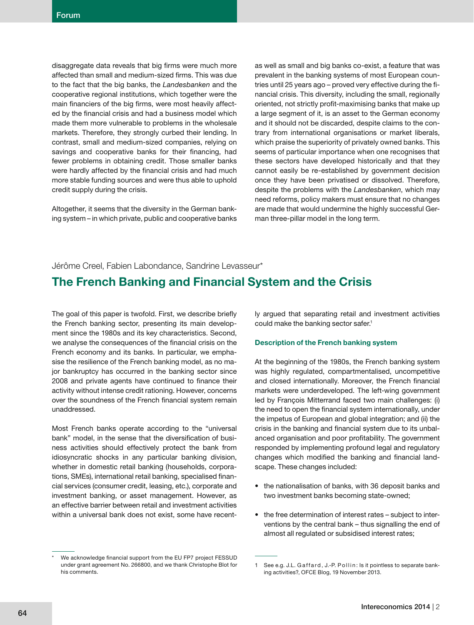disaggregate data reveals that big firms were much more affected than small and medium-sized firms. This was due to the fact that the big banks, the *Landesbanken* and the cooperative regional institutions, which together were the main financiers of the big firms, were most heavily affected by the financial crisis and had a business model which made them more vulnerable to problems in the wholesale markets. Therefore, they strongly curbed their lending. In contrast, small and medium-sized companies, relying on savings and cooperative banks for their financing, had fewer problems in obtaining credit. Those smaller banks were hardly affected by the financial crisis and had much more stable funding sources and were thus able to uphold credit supply during the crisis.

Altogether, it seems that the diversity in the German banking system – in which private, public and cooperative banks as well as small and big banks co-exist, a feature that was prevalent in the banking systems of most European countries until 25 years ago - proved very effective during the financial crisis. This diversity, including the small, regionally oriented, not strictly profit-maximising banks that make up a large segment of it, is an asset to the German economy and it should not be discarded, despite claims to the contrary from international organisations or market liberals, which praise the superiority of privately owned banks. This seems of particular importance when one recognises that these sectors have developed historically and that they cannot easily be re-established by government decision once they have been privatised or dissolved. Therefore, despite the problems with the *Landesbanken*, which may need reforms, policy makers must ensure that no changes are made that would undermine the highly successful German three-pillar model in the long term.

Jérôme Creel, Fabien Labondance, Sandrine Levasseur\*

### **The French Banking and Financial System and the Crisis**

The goal of this paper is twofold. First, we describe briefly the French banking sector, presenting its main development since the 1980s and its key characteristics. Second, we analyse the consequences of the financial crisis on the French economy and its banks. In particular, we emphasise the resilience of the French banking model, as no major bankruptcy has occurred in the banking sector since 2008 and private agents have continued to finance their activity without intense credit rationing. However, concerns over the soundness of the French financial system remain unaddressed.

Most French banks operate according to the "universal bank" model, in the sense that the diversification of business activities should effectively protect the bank from idiosyncratic shocks in any particular banking division, whether in domestic retail banking (households, corporations, SMEs), international retail banking, specialised financial services (consumer credit, leasing, etc.), corporate and investment banking, or asset management. However, as an effective barrier between retail and investment activities within a universal bank does not exist, some have recently argued that separating retail and investment activities could make the banking sector safer.<sup>1</sup>

#### **Description of the French banking system**

At the beginning of the 1980s, the French banking system was highly regulated, compartmentalised, uncompetitive and closed internationally. Moreover, the French financial markets were underdeveloped. The left-wing government led by François Mitterrand faced two main challenges: (i) the need to open the financial system internationally, under the impetus of European and global integration; and (ii) the crisis in the banking and financial system due to its unbalanced organisation and poor profitability. The government responded by implementing profound legal and regulatory changes which modified the banking and financial landscape. These changes included:

- the nationalisation of banks, with 36 deposit banks and two investment banks becoming state-owned;
- the free determination of interest rates subject to interventions by the central bank – thus signalling the end of almost all regulated or subsidised interest rates;

We acknowledge financial support from the EU FP7 project FESSUD under grant agreement No. 266800, and we thank Christophe Blot for his comments.

<sup>1</sup> See e.g. J.L. Gaffard, J.-P. Pollin: Is it pointless to separate banking activities?, OFCE Blog, 19 November 2013.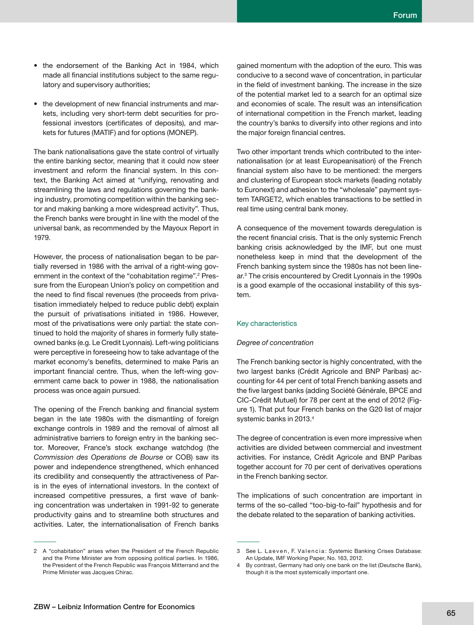- the endorsement of the Banking Act in 1984, which made all financial institutions subject to the same regulatory and supervisory authorities;
- the development of new financial instruments and markets, including very short-term debt securities for professional investors (certificates of deposits), and markets for futures (MATIF) and for options (MONEP).

The bank nationalisations gave the state control of virtually the entire banking sector, meaning that it could now steer investment and reform the financial system. In this context, the Banking Act aimed at "unifying, renovating and streamlining the laws and regulations governing the banking industry, promoting competition within the banking sector and making banking a more widespread activity". Thus, the French banks were brought in line with the model of the universal bank, as recommended by the Mayoux Report in 1979.

However, the process of nationalisation began to be partially reversed in 1986 with the arrival of a right-wing government in the context of the "cohabitation regime".<sup>2</sup> Pressure from the European Union's policy on competition and the need to find fiscal revenues (the proceeds from privatisation immediately helped to reduce public debt) explain the pursuit of privatisations initiated in 1986. However, most of the privatisations were only partial: the state continued to hold the majority of shares in formerly fully stateowned banks (e.g. Le Credit Lyonnais). Left-wing politicians were perceptive in foreseeing how to take advantage of the market economy's benefits, determined to make Paris an important financial centre. Thus, when the left-wing government came back to power in 1988, the nationalisation process was once again pursued.

The opening of the French banking and financial system began in the late 1980s with the dismantling of foreign exchange controls in 1989 and the removal of almost all administrative barriers to foreign entry in the banking sector. Moreover, France's stock exchange watchdog (the *Commission des Operations de Bourse* or COB) saw its power and independence strengthened, which enhanced its credibility and consequently the attractiveness of Paris in the eyes of international investors. In the context of increased competitive pressures, a first wave of banking concentration was undertaken in 1991-92 to generate productivity gains and to streamline both structures and activities. Later, the internationalisation of French banks gained momentum with the adoption of the euro. This was conducive to a second wave of concentration, in particular in the field of investment banking. The increase in the size of the potential market led to a search for an optimal size and economies of scale. The result was an intensification of international competition in the French market, leading the country's banks to diversify into other regions and into the major foreign financial centres.

Two other important trends which contributed to the internationalisation (or at least Europeanisation) of the French financial system also have to be mentioned: the mergers and clustering of European stock markets (leading notably to Euronext) and adhesion to the "wholesale" payment system TARGET2, which enables transactions to be settled in real time using central bank money.

A consequence of the movement towards deregulation is the recent financial crisis. That is the only systemic French banking crisis acknowledged by the IMF, but one must nonetheless keep in mind that the development of the French banking system since the 1980s has not been linear.3 The crisis encountered by Credit Lyonnais in the 1990s is a good example of the occasional instability of this system.

#### Key characteristics

#### *Degree of concentration*

The French banking sector is highly concentrated, with the two largest banks (Crédit Agricole and BNP Paribas) accounting for 44 per cent of total French banking assets and the five largest banks (adding Société Générale, BPCE and CIC-Crédit Mutuel) for 78 per cent at the end of 2012 (Figure 1). That put four French banks on the G20 list of major systemic banks in 2013.4

The degree of concentration is even more impressive when activities are divided between commercial and investment activities. For instance, Crédit Agricole and BNP Paribas together account for 70 per cent of derivatives operations in the French banking sector.

The implications of such concentration are important in terms of the so-called "too-big-to-fail" hypothesis and for the debate related to the separation of banking activities.

<sup>2</sup> A "cohabitation" arises when the President of the French Republic and the Prime Minister are from opposing political parties. In 1986, the President of the French Republic was François Mitterrand and the Prime Minister was Jacques Chirac.

<sup>3</sup> See L. Laeven, F. Valencia: Systemic Banking Crises Database: An Update, IMF Working Paper, No. 163, 2012.

<sup>4</sup> By contrast, Germany had only one bank on the list (Deutsche Bank), though it is the most systemically important one.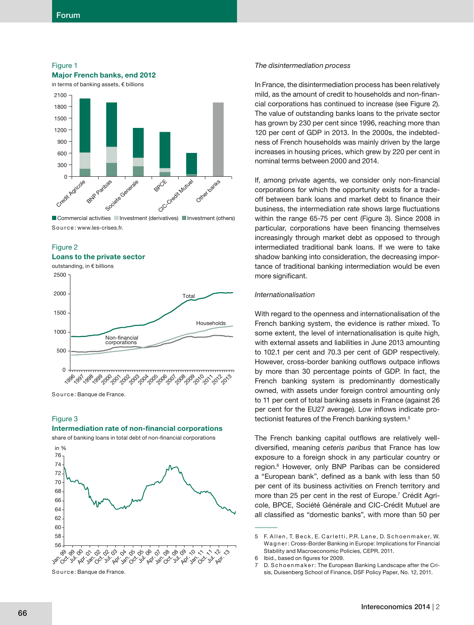Figure 1



S o u rc e : www.les-crises.fr. ■ Commercial activities ■ Investment (derivatives) ■ Investment (others)

#### Figure 2 **Loans to the private sector**



Source: Banque de France.

#### Figure 3

#### **Intermediation rate of non-financial corporations**

share of banking loans in total debt of non-financial corporations



Source: Banque de France.

#### *The disintermediation process*

In France, the disintermediation process has been relatively mild, as the amount of credit to households and non-financial corporations has continued to increase (see Figure 2). The value of outstanding banks loans to the private sector has grown by 230 per cent since 1996, reaching more than 120 per cent of GDP in 2013. In the 2000s, the indebtedness of French households was mainly driven by the large increases in housing prices, which grew by 220 per cent in nominal terms between 2000 and 2014.

If, among private agents, we consider only non-financial corporations for which the opportunity exists for a tradeoff between bank loans and market debt to finance their business, the intermediation rate shows large fluctuations within the range 65-75 per cent (Figure 3). Since 2008 in particular, corporations have been financing themselves increasingly through market debt as opposed to through intermediated traditional bank loans. If we were to take shadow banking into consideration, the decreasing importance of traditional banking intermediation would be even more significant.

#### *Internationalisation*

With regard to the openness and internationalisation of the French banking system, the evidence is rather mixed. To some extent, the level of internationalisation is quite high, with external assets and liabilities in June 2013 amounting to 102.1 per cent and 70.3 per cent of GDP respectively. However, cross-border banking outflows outpace inflows by more than 30 percentage points of GDP. In fact, the French banking system is predominantly domestically owned, with assets under foreign control amounting only to 11 per cent of total banking assets in France (against 26 per cent for the EU27 average). Low inflows indicate protectionist features of the French banking system.<sup>5</sup>

The French banking capital outflows are relatively welldiversified, meaning *ceteris paribus* that France has low exposure to a foreign shock in any particular country or region.6 However, only BNP Paribas can be considered a "European bank", defined as a bank with less than 50 per cent of its business activities on French territory and more than 25 per cent in the rest of Europe.<sup>7</sup> Crédit Agricole, BPCE, Société Générale and CIC-Crédit Mutuel are all classified as "domestic banks", with more than 50 per

<sup>5</sup> F. Allen, T. Beck, E. Carletti, P.R. Lane, D. Schoenmaker, W. Wagner: Cross-Border Banking in Europe: Implications for Financial Stability and Macroeconomic Policies, CEPR, 2011.

<sup>6</sup> Ibid., based on figures for 2009.

<sup>7</sup> D. Schoenmaker: The European Banking Landscape after the Crisis, Duisenberg School of Finance, DSF Policy Paper, No. 12, 2011.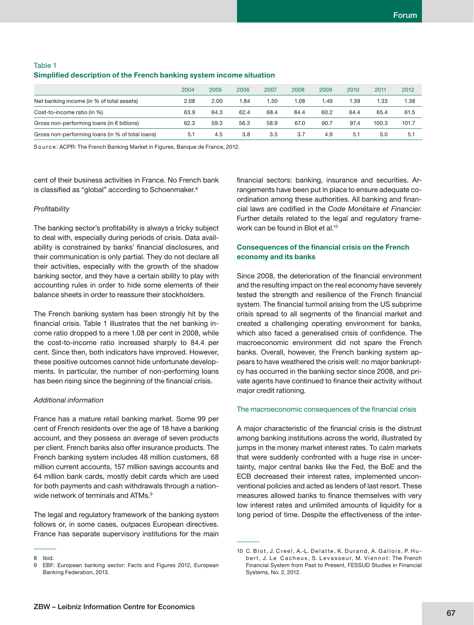| Table 1                                                              |  |
|----------------------------------------------------------------------|--|
| Simplified description of the French banking system income situation |  |

|                                                     | 2004 | 2005 | 2006 | 2007 | 2008 | 2009 | 2010 | 2011  | 2012  |
|-----------------------------------------------------|------|------|------|------|------|------|------|-------|-------|
| Net banking income (in % of total assets)           | 2.08 | 2.00 | 1.84 | 1.50 | 1.08 | 1.49 | 1.39 | 1.33  | 1.38  |
| Cost-to-income ratio (in %)                         | 63.9 | 64.3 | 62.4 | 68.4 | 84.4 | 60.2 | 64.4 | 65.4  | 61.5  |
| Gross non-performing loans (in $\epsilon$ billions) | 62.3 | 59.3 | 56.3 | 58.9 | 67.0 | 90.7 | 97.4 | 100.3 | 101.7 |
| Gross non-performing loans (in % of total loans)    | 5.1  | 4.5  | 3.8  | 3.5  | 3.7  | 4.9  | 5.1  | 5.0   | 5.1   |

Source: ACPR: The French Banking Market in Figures, Banque de France, 2012.

cent of their business activities in France. No French bank is classified as "global" according to Schoenmaker.<sup>8</sup>

#### *Profi tability*

The banking sector's profitability is always a tricky subject to deal with, especially during periods of crisis. Data availability is constrained by banks' financial disclosures, and their communication is only partial. They do not declare all their activities, especially with the growth of the shadow banking sector, and they have a certain ability to play with accounting rules in order to hide some elements of their balance sheets in order to reassure their stockholders.

The French banking system has been strongly hit by the financial crisis. Table 1 illustrates that the net banking income ratio dropped to a mere 1.08 per cent in 2008, while the cost-to-income ratio increased sharply to 84.4 per cent. Since then, both indicators have improved. However, these positive outcomes cannot hide unfortunate developments. In particular, the number of non-performing loans has been rising since the beginning of the financial crisis.

#### *Additional information*

France has a mature retail banking market. Some 99 per cent of French residents over the age of 18 have a banking account, and they possess an average of seven products per client. French banks also offer insurance products. The French banking system includes 48 million customers, 68 million current accounts, 157 million savings accounts and 64 million bank cards, mostly debit cards which are used for both payments and cash withdrawals through a nationwide network of terminals and ATMs.<sup>9</sup>

The legal and regulatory framework of the banking system follows or, in some cases, outpaces European directives. France has separate supervisory institutions for the main financial sectors: banking, insurance and securities. Arrangements have been put in place to ensure adequate coordination among these authorities. All banking and financial laws are codified in the Code Monétaire et Financier. Further details related to the legal and regulatory framework can be found in Blot et al.<sup>10</sup>

#### **Consequences of the financial crisis on the French economy and its banks**

Since 2008, the deterioration of the financial environment and the resulting impact on the real economy have severely tested the strength and resilience of the French financial system. The financial turmoil arising from the US subprime crisis spread to all segments of the financial market and created a challenging operating environment for banks, which also faced a generalised crisis of confidence. The macroeconomic environment did not spare the French banks. Overall, however, the French banking system appears to have weathered the crisis well: no major bankruptcy has occurred in the banking sector since 2008, and private agents have continued to finance their activity without major credit rationing.

#### The macroeconomic consequences of the financial crisis

A major characteristic of the financial crisis is the distrust among banking institutions across the world, illustrated by jumps in the money market interest rates. To calm markets that were suddenly confronted with a huge rise in uncertainty, major central banks like the Fed, the BoE and the ECB decreased their interest rates, implemented unconventional policies and acted as lenders of last resort. These measures allowed banks to finance themselves with very low interest rates and unlimited amounts of liquidity for a long period of time. Despite the effectiveness of the inter-

<sup>8</sup> Ibid. 9 EBF: European banking sector: Facts and Figures 2012, European Banking Federation, 2013.

<sup>10</sup> C. Blot, J. Creel, A.-L. Delatte, K. Durand, A. Gallois, P. Hubert, J. Le Cacheux, S. Levasseur, M. Viennot: The French Financial System from Past to Present, FESSUD Studies in Financial Systems, No. 2, 2012.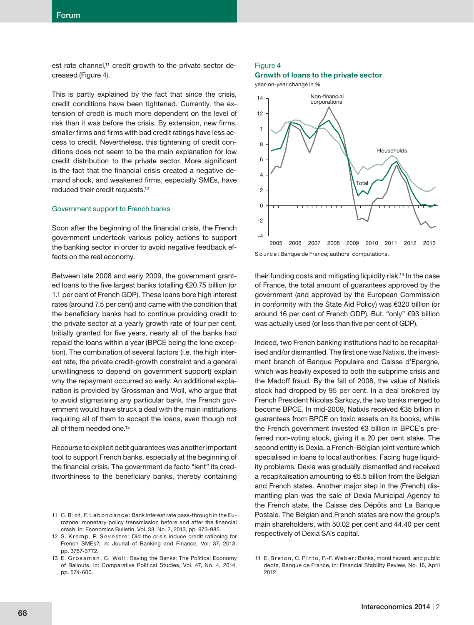est rate channel,<sup>11</sup> credit growth to the private sector decreased (Figure 4).

This is partly explained by the fact that since the crisis, credit conditions have been tightened. Currently, the extension of credit is much more dependent on the level of risk than it was before the crisis. By extension, new firms, smaller firms and firms with bad credit ratings have less access to credit. Nevertheless, this tightening of credit conditions does not seem to be the main explanation for low credit distribution to the private sector. More significant is the fact that the financial crisis created a negative demand shock, and weakened firms, especially SMEs, have reduced their credit requests.12

#### Government support to French banks

Soon after the beginning of the financial crisis, the French government undertook various policy actions to support the banking sector in order to avoid negative feedback effects on the real economy.

Between late 2008 and early 2009, the government granted loans to the five largest banks totalling €20.75 billion (or 1.1 per cent of French GDP). These loans bore high interest rates (around 7.5 per cent) and came with the condition that the beneficiary banks had to continue providing credit to the private sector at a yearly growth rate of four per cent. Initially granted for five years, nearly all of the banks had repaid the loans within a year (BPCE being the lone exception). The combination of several factors (i.e. the high interest rate, the private credit-growth constraint and a general unwillingness to depend on government support) explain why the repayment occurred so early. An additional explanation is provided by Grossman and Woll, who argue that to avoid stigmatising any particular bank, the French government would have struck a deal with the main institutions requiring all of them to accept the loans, even though not all of them needed one.<sup>13</sup>

Recourse to explicit debt guarantees was another important tool to support French banks, especially at the beginning of the financial crisis. The government de facto "lent" its creditworthiness to the beneficiary banks, thereby containing

#### Figure 4



year-on-year change in %



their funding costs and mitigating liquidity risk.<sup>14</sup> In the case of France, the total amount of guarantees approved by the government (and approved by the European Commission in conformity with the State Aid Policy) was €320 billion (or around 16 per cent of French GDP). But, "only" €93 billion was actually used (or less than five per cent of GDP).

Indeed, two French banking institutions had to be recapitalised and/or dismantled. The first one was Natixis, the investment branch of Banque Populaire and Caisse d'Epargne, which was heavily exposed to both the subprime crisis and the Madoff fraud. By the fall of 2008, the value of Natixis stock had dropped by 95 per cent. In a deal brokered by French President Nicolas Sarkozy, the two banks merged to become BPCE. In mid-2009, Natixis received €35 billion in guarantees from BPCE on toxic assets on its books, while the French government invested €3 billion in BPCE's preferred non-voting stock, giving it a 20 per cent stake. The second entity is Dexia, a French-Belgian joint venture which specialised in loans to local authorities. Facing huge liquidity problems, Dexia was gradually dismantled and received a recapitalisation amounting to €5.5 billion from the Belgian and French states. Another major step in the (French) dismantling plan was the sale of Dexia Municipal Agency to the French state, the Caisse des Dépôts and La Banque Postale. The Belgian and French states are now the group's main shareholders, with 50.02 per cent and 44.40 per cent respectively of Dexia SA's capital.

<sup>11</sup> C. B l o t . F. L a b o n d a n c e : Bank interest rate pass-through in the Eurozone: monetary policy transmission before and after the financial crash, in: Economics Bulletin, Vol. 33, No. 2, 2013, pp. 973-985.

<sup>12</sup> S. Kremp, P. Sevestre: Did the crisis induce credit rationing for French SMEs?, in: Jounal of Banking and Finance, Vol. 37, 2013, pp. 3757-3772.

<sup>13</sup> E. Grossman, C. Woll: Saving the Banks: The Political Economy of Bailouts, in: Comparative Political Studies, Vol. 47, No. 4, 2014, pp. 574-600.

<sup>14</sup> E. Breton, C. Pinto, P.-F. Weber: Banks, moral hazard, and public debts, Banque de France, in: Financial Stability Review, No. 16, April 2012.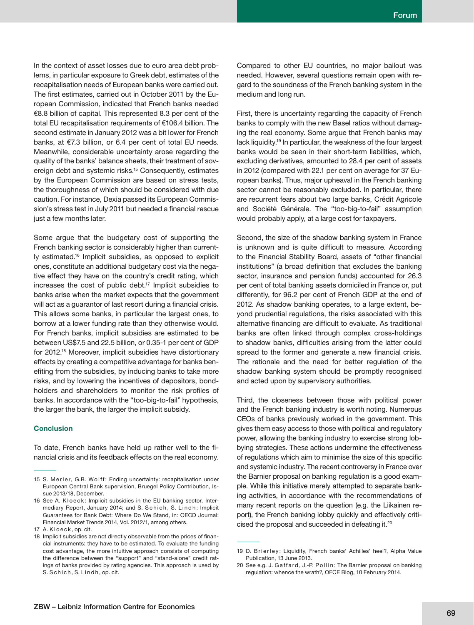In the context of asset losses due to euro area debt problems, in particular exposure to Greek debt, estimates of the recapitalisation needs of European banks were carried out. The first estimates, carried out in October 2011 by the European Commission, indicated that French banks needed €8.8 billion of capital. This represented 8.3 per cent of the total EU recapitalisation requirements of €106.4 billion. The second estimate in January 2012 was a bit lower for French banks, at €7.3 billion, or 6.4 per cent of total EU needs. Meanwhile, considerable uncertainty arose regarding the quality of the banks' balance sheets, their treatment of sovereign debt and systemic risks.<sup>15</sup> Consequently, estimates by the European Commission are based on stress tests, the thoroughness of which should be considered with due caution. For instance, Dexia passed its European Commission's stress test in July 2011 but needed a financial rescue just a few months later.

Some argue that the budgetary cost of supporting the French banking sector is considerably higher than currently estimated.16 Implicit subsidies, as opposed to explicit ones, constitute an additional budgetary cost via the negative effect they have on the country's credit rating, which increases the cost of public debt.17 Implicit subsidies to banks arise when the market expects that the government will act as a quarantor of last resort during a financial crisis. This allows some banks, in particular the largest ones, to borrow at a lower funding rate than they otherwise would. For French banks, implicit subsidies are estimated to be between US\$7.5 and 22.5 billion, or 0.35-1 per cent of GDP for 2012.18 Moreover, implicit subsidies have distortionary effects by creating a competitive advantage for banks benefiting from the subsidies, by inducing banks to take more risks, and by lowering the incentives of depositors, bondholders and shareholders to monitor the risk profiles of banks. In accordance with the "too-big-to-fail" hypothesis, the larger the bank, the larger the implicit subsidy.

#### **Conclusion**

To date, French banks have held up rather well to the financial crisis and its feedback effects on the real economy. Compared to other EU countries, no major bailout was needed. However, several questions remain open with regard to the soundness of the French banking system in the medium and long run.

First, there is uncertainty regarding the capacity of French banks to comply with the new Basel ratios without damaging the real economy. Some argue that French banks may lack liquidity.19 In particular, the weakness of the four largest banks would be seen in their short-term liabilities, which, excluding derivatives, amounted to 28.4 per cent of assets in 2012 (compared with 22.1 per cent on average for 37 European banks). Thus, major upheaval in the French banking sector cannot be reasonably excluded. In particular, there are recurrent fears about two large banks, Crédit Agricole and Société Générale. The "too-big-to-fail" assumption would probably apply, at a large cost for taxpayers.

Second, the size of the shadow banking system in France is unknown and is quite difficult to measure. According to the Financial Stability Board, assets of "other financial institutions" (a broad definition that excludes the banking sector, insurance and pension funds) accounted for 26.3 per cent of total banking assets domiciled in France or, put differently, for 96.2 per cent of French GDP at the end of 2012. As shadow banking operates, to a large extent, beyond prudential regulations, the risks associated with this alternative financing are difficult to evaluate. As traditional banks are often linked through complex cross-holdings to shadow banks, difficulties arising from the latter could spread to the former and generate a new financial crisis. The rationale and the need for better regulation of the shadow banking system should be promptly recognised and acted upon by supervisory authorities.

Third, the closeness between those with political power and the French banking industry is worth noting. Numerous CEOs of banks previously worked in the government. This gives them easy access to those with political and regulatory power, allowing the banking industry to exercise strong lobbying strategies. These actions undermine the effectiveness of regulations which aim to minimise the size of this specific and systemic industry. The recent controversy in France over the Barnier proposal on banking regulation is a good example. While this initiative merely attempted to separate banking activities, in accordance with the recommendations of many recent reports on the question (e.g. the Liikainen report), the French banking lobby quickly and effectively criticised the proposal and succeeded in defeating it.20

<sup>15</sup> S. Merler, G.B. Wolff: Ending uncertainty: recapitalisation under European Central Bank supervision, Bruegel Policy Contribution, Issue 2013/18, December.

<sup>16</sup> See A. Kloeck: Implicit subsidies in the EU banking sector, Intermediary Report, January 2014; and S. Schich, S. Lindh: Implicit Guarantees for Bank Debt: Where Do We Stand, in: OECD Journal: Financial Market Trends 2014, Vol. 2012/1, among others.

<sup>17</sup> A. Kloeck, op. cit.

<sup>18</sup> Implicit subsidies are not directly observable from the prices of financial instruments: they have to be estimated. To evaluate the funding cost advantage, the more intuitive approach consists of computing the difference between the "support" and "stand-alone" credit ratings of banks provided by rating agencies. This approach is used by S. Schich, S. Lindh, op. cit.

<sup>19</sup> D. Brierley: Liquidity, French banks' Achilles' heel?, Alpha Value Publication, 13 June 2013.

<sup>20</sup> See e.g. J. Gaffard, J.-P. Pollin: The Barnier proposal on banking regulation: whence the wrath?, OFCE Blog, 10 February 2014.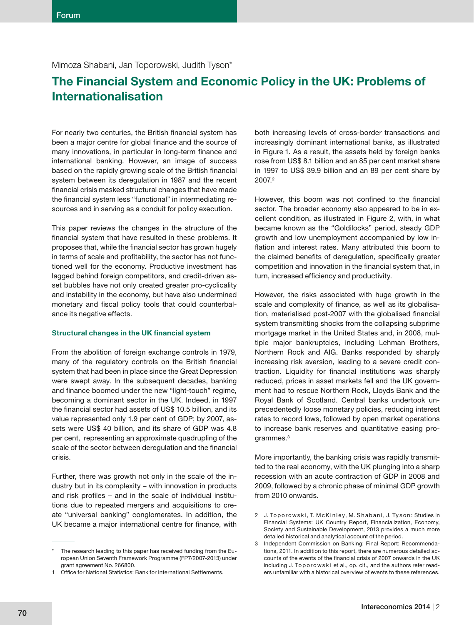# **The Financial System and Economic Policy in the UK: Problems of Internationalisation**

For nearly two centuries, the British financial system has been a major centre for global finance and the source of many innovations, in particular in long-term finance and international banking. However, an image of success based on the rapidly growing scale of the British financial system between its deregulation in 1987 and the recent financial crisis masked structural changes that have made the financial system less "functional" in intermediating resources and in serving as a conduit for policy execution.

This paper reviews the changes in the structure of the financial system that have resulted in these problems. It proposes that, while the financial sector has grown hugely in terms of scale and profitability, the sector has not functioned well for the economy. Productive investment has lagged behind foreign competitors, and credit-driven asset bubbles have not only created greater pro-cyclicality and instability in the economy, but have also undermined monetary and fiscal policy tools that could counterbalance its negative effects.

#### **Structural changes in the UK financial system**

From the abolition of foreign exchange controls in 1979, many of the regulatory controls on the British financial system that had been in place since the Great Depression were swept away. In the subsequent decades, banking and finance boomed under the new "light-touch" regime, becoming a dominant sector in the UK. Indeed, in 1997 the financial sector had assets of US\$ 10.5 billion, and its value represented only 1.9 per cent of GDP; by 2007, assets were US\$ 40 billion, and its share of GDP was 4.8 per cent,<sup>1</sup> representing an approximate quadrupling of the scale of the sector between deregulation and the financial crisis.

Further, there was growth not only in the scale of the industry but in its complexity – with innovation in products and risk profiles  $-$  and in the scale of individual institutions due to repeated mergers and acquisitions to create "universal banking" conglomerates. In addition, the UK became a major international centre for finance, with both increasing levels of cross-border transactions and increasingly dominant international banks, as illustrated in Figure 1. As a result, the assets held by foreign banks rose from US\$ 8.1 billion and an 85 per cent market share in 1997 to US\$ 39.9 billion and an 89 per cent share by 2007.2

However, this boom was not confined to the financial sector. The broader economy also appeared to be in excellent condition, as illustrated in Figure 2, with, in what became known as the "Goldilocks" period, steady GDP growth and low unemployment accompanied by low inflation and interest rates. Many attributed this boom to the claimed benefits of deregulation, specifically greater competition and innovation in the financial system that, in turn, increased efficiency and productivity.

However, the risks associated with huge growth in the scale and complexity of finance, as well as its globalisation, materialised post-2007 with the globalised financial system transmitting shocks from the collapsing subprime mortgage market in the United States and, in 2008, multiple major bankruptcies, including Lehman Brothers, Northern Rock and AIG. Banks responded by sharply increasing risk aversion, leading to a severe credit contraction. Liquidity for financial institutions was sharply reduced, prices in asset markets fell and the UK government had to rescue Northern Rock, Lloyds Bank and the Royal Bank of Scotland. Central banks undertook unprecedentedly loose monetary policies, reducing interest rates to record lows, followed by open market operations to increase bank reserves and quantitative easing programmes.3

More importantly, the banking crisis was rapidly transmitted to the real economy, with the UK plunging into a sharp recession with an acute contraction of GDP in 2008 and 2009, followed by a chronic phase of minimal GDP growth from 2010 onwards.

The research leading to this paper has received funding from the European Union Seventh Framework Programme (FP7/2007-2013) under grant agreement No. 266800.

<sup>1</sup> Office for National Statistics; Bank for International Settlements.

<sup>2</sup> J. Toporowski, T. McKinley, M. Shabani, J. Tyson: Studies in Financial Systems: UK Country Report, Financialization, Economy, Society and Sustainable Development, 2013 provides a much more detailed historical and analytical account of the period.

<sup>3</sup> Independent Commission on Banking: Final Report: Recommendations, 2011. In addition to this report, there are numerous detailed accounts of the events of the financial crisis of 2007 onwards in the UK including J. Toporowski et al., op. cit., and the authors refer readers unfamiliar with a historical overview of events to these references.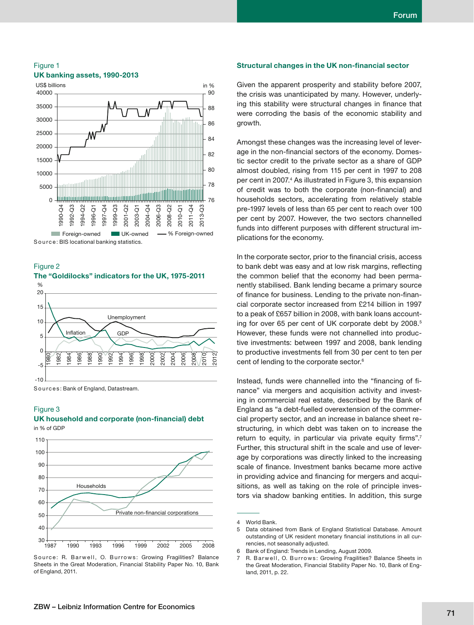#### Figure 1 **UK banking assets, 1990-2013**



Source: BIS locational banking statistics.

Figure 2 **The "Goldilocks" indicators for the UK, 1975-2011**



Sources: Bank of England, Datastream.

#### Figure 3 UK household and corporate (non-financial) debt in % of GDP



Source: R. Barwell, O. Burrows: Growing Fragilities? Balance Sheets in the Great Moderation, Financial Stability Paper No. 10, Bank of England, 2011.

#### **Structural changes in the UK non-financial sector**

Given the apparent prosperity and stability before 2007, the crisis was unanticipated by many. However, underlying this stability were structural changes in finance that were corroding the basis of the economic stability and growth.

Amongst these changes was the increasing level of leverage in the non-financial sectors of the economy. Domestic sector credit to the private sector as a share of GDP almost doubled, rising from 115 per cent in 1997 to 208 per cent in 2007.4 As illustrated in Figure 3, this expansion of credit was to both the corporate (non-financial) and households sectors, accelerating from relatively stable pre-1997 levels of less than 65 per cent to reach over 100 per cent by 2007. However, the two sectors channelled funds into different purposes with different structural implications for the economy.

In the corporate sector, prior to the financial crisis, access to bank debt was easy and at low risk margins, reflecting the common belief that the economy had been permanently stabilised. Bank lending became a primary source of finance for business. Lending to the private non-financial corporate sector increased from £214 billion in 1997 to a peak of £657 billion in 2008, with bank loans accounting for over 65 per cent of UK corporate debt by 2008.<sup>5</sup> However, these funds were not channelled into productive investments: between 1997 and 2008, bank lending to productive investments fell from 30 per cent to ten per cent of lending to the corporate sector.<sup>6</sup>

Instead, funds were channelled into the "financing of finance" via mergers and acquisition activity and investing in commercial real estate, described by the Bank of England as "a debt-fuelled overextension of the commercial property sector, and an increase in balance sheet restructuring, in which debt was taken on to increase the return to equity, in particular via private equity firms".<sup>7</sup> Further, this structural shift in the scale and use of leverage by corporations was directly linked to the increasing scale of finance. Investment banks became more active in providing advice and financing for mergers and acquisitions, as well as taking on the role of principle investors via shadow banking entities. In addition, this surge

<sup>4</sup> World Bank.

<sup>5</sup> Data obtained from Bank of England Statistical Database. Amount outstanding of UK resident monetary financial institutions in all currencies, not seasonally adjusted.

<sup>6</sup> Bank of England: Trends in Lending, August 2009.

<sup>7</sup> R. Barwell, O. Burrows: Growing Fragilities? Balance Sheets in the Great Moderation, Financial Stability Paper No. 10, Bank of England, 2011, p. 22.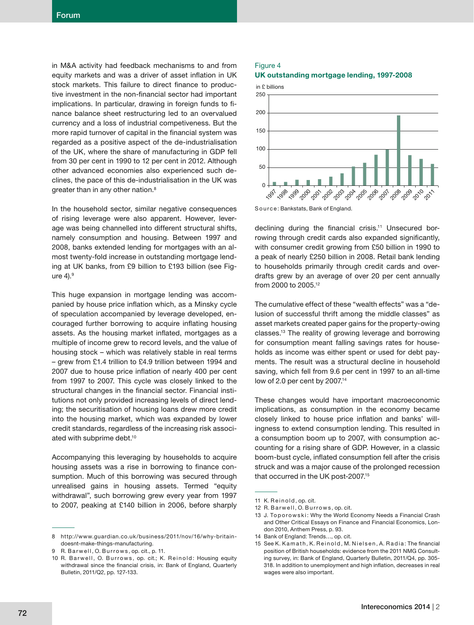in M&A activity had feedback mechanisms to and from equity markets and was a driver of asset inflation in UK stock markets. This failure to direct finance to productive investment in the non-financial sector had important implications. In particular, drawing in foreign funds to finance balance sheet restructuring led to an overvalued currency and a loss of industrial competiveness. But the more rapid turnover of capital in the financial system was regarded as a positive aspect of the de-industrialisation of the UK, where the share of manufacturing in GDP fell from 30 per cent in 1990 to 12 per cent in 2012. Although other advanced economies also experienced such declines, the pace of this de-industrialisation in the UK was greater than in any other nation.<sup>8</sup>

In the household sector, similar negative consequences of rising leverage were also apparent. However, leverage was being channelled into different structural shifts, namely consumption and housing. Between 1997 and 2008, banks extended lending for mortgages with an almost twenty-fold increase in outstanding mortgage lending at UK banks, from £9 billion to £193 billion (see Figure  $4$ ). $9$ 

This huge expansion in mortgage lending was accompanied by house price inflation which, as a Minsky cycle of speculation accompanied by leverage developed, encouraged further borrowing to acquire inflating housing assets. As the housing market inflated, mortgages as a multiple of income grew to record levels, and the value of housing stock – which was relatively stable in real terms – grew from £1.4 trillion to £4.9 trillion between 1994 and 2007 due to house price inflation of nearly 400 per cent from 1997 to 2007. This cycle was closely linked to the structural changes in the financial sector. Financial institutions not only provided increasing levels of direct lending; the securitisation of housing loans drew more credit into the housing market, which was expanded by lower credit standards, regardless of the increasing risk associated with subprime debt.<sup>10</sup>

Accompanying this leveraging by households to acquire housing assets was a rise in borrowing to finance consumption. Much of this borrowing was secured through unrealised gains in housing assets. Termed "equity withdrawal", such borrowing grew every year from 1997 to 2007, peaking at £140 billion in 2006, before sharply

#### Figure 4 **UK outstanding mortgage lending, 1997-2008**



Source: Bankstats, Bank of England.

declining during the financial crisis.<sup>11</sup> Unsecured borrowing through credit cards also expanded significantly, with consumer credit growing from £50 billion in 1990 to a peak of nearly £250 billion in 2008. Retail bank lending to households primarily through credit cards and overdrafts grew by an average of over 20 per cent annually from 2000 to 2005.12

The cumulative effect of these "wealth effects" was a "delusion of successful thrift among the middle classes" as asset markets created paper gains for the property-owing classes.13 The reality of growing leverage and borrowing for consumption meant falling savings rates for households as income was either spent or used for debt payments. The result was a structural decline in household saving, which fell from 9.6 per cent in 1997 to an all-time low of 2.0 per cent by 2007.<sup>14</sup>

These changes would have important macroeconomic implications, as consumption in the economy became closely linked to house price inflation and banks' willingness to extend consumption lending. This resulted in a consumption boom up to 2007, with consumption accounting for a rising share of GDP. However, in a classic boom-bust cycle, inflated consumption fell after the crisis struck and was a major cause of the prolonged recession that occurred in the UK post-2007.15

<sup>8</sup> http://www.guardian.co.uk/business/2011/nov/16/why-britaindoesnt-make-things-manufacturing.

<sup>9</sup> R. Barwell, O. Burrows, op. cit., p. 11.

<sup>10</sup> R. Barwell, O. Burrows, op. cit.; K. Reinold: Housing equity withdrawal since the financial crisis, in: Bank of England, Quarterly Bulletin, 2011/Q2, pp. 127-133.

<sup>11</sup> K. Reinold, op. cit.

<sup>12</sup> R. Barwell, O. Burrows, op. cit.

<sup>13</sup> J. Toporowski: Why the World Economy Needs a Financial Crash and Other Critical Essays on Finance and Financial Economics, London 2010, Anthem Press, p. 93.

<sup>14</sup> Bank of England: Trends…, op. cit.

<sup>15</sup> See K. Kamath, K. Reinold, M. Nielsen, A. Radia: The financial position of British households: evidence from the 2011 NMG Consulting survey, in: Bank of England, Quarterly Bulletin, 2011/Q4, pp. 305- 318. In addition to unemployment and high inflation, decreases in real wages were also important.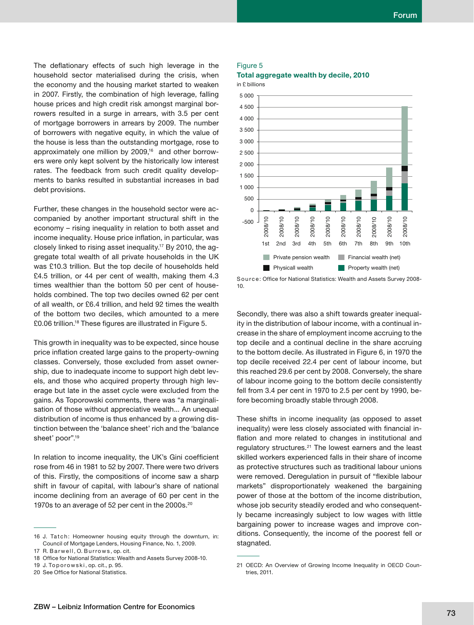The deflationary effects of such high leverage in the household sector materialised during the crisis, when the economy and the housing market started to weaken in 2007. Firstly, the combination of high leverage, falling house prices and high credit risk amongst marginal borrowers resulted in a surge in arrears, with 3.5 per cent of mortgage borrowers in arrears by 2009. The number of borrowers with negative equity, in which the value of the house is less than the outstanding mortgage, rose to approximately one million by 2009,<sup>16</sup> and other borrowers were only kept solvent by the historically low interest rates. The feedback from such credit quality developments to banks resulted in substantial increases in bad debt provisions.

Further, these changes in the household sector were accompanied by another important structural shift in the economy – rising inequality in relation to both asset and income inequality. House price inflation, in particular, was closely linked to rising asset inequality.17 By 2010, the aggregate total wealth of all private households in the UK was £10.3 trillion. But the top decile of households held £4.5 trillion, or 44 per cent of wealth, making them 4.3 times wealthier than the bottom 50 per cent of households combined. The top two deciles owned 62 per cent of all wealth, or £6.4 trillion, and held 92 times the wealth of the bottom two deciles, which amounted to a mere £0.06 trillion.<sup>18</sup> These figures are illustrated in Figure 5.

This growth in inequality was to be expected, since house price inflation created large gains to the property-owning classes. Conversely, those excluded from asset ownership, due to inadequate income to support high debt levels, and those who acquired property through high leverage but late in the asset cycle were excluded from the gains. As Toporowski comments, there was "a marginalisation of those without appreciative wealth... An unequal distribution of income is thus enhanced by a growing distinction between the 'balance sheet' rich and the 'balance sheet' poor".<sup>19</sup>

In relation to income inequality, the UK's Gini coefficient rose from 46 in 1981 to 52 by 2007. There were two drivers of this. Firstly, the compositions of income saw a sharp shift in favour of capital, with labour's share of national income declining from an average of 60 per cent in the 1970s to an average of 52 per cent in the 2000s.<sup>20</sup>

- 19 J. Toporowski, op. cit., p. 95.
- 20 See Office for National Statistics.

#### Figure 5

#### **Total aggregate wealth by decile, 2010**





Source: Office for National Statistics: Wealth and Assets Survey 2008-10.

Secondly, there was also a shift towards greater inequality in the distribution of labour income, with a continual increase in the share of employment income accruing to the top decile and a continual decline in the share accruing to the bottom decile. As illustrated in Figure 6, in 1970 the top decile received 22.4 per cent of labour income, but this reached 29.6 per cent by 2008. Conversely, the share of labour income going to the bottom decile consistently fell from 3.4 per cent in 1970 to 2.5 per cent by 1990, before becoming broadly stable through 2008.

These shifts in income inequality (as opposed to asset inequality) were less closely associated with financial inflation and more related to changes in institutional and regulatory structures.<sup>21</sup> The lowest earners and the least skilled workers experienced falls in their share of income as protective structures such as traditional labour unions were removed. Deregulation in pursuit of "flexible labour markets" disproportionately weakened the bargaining power of those at the bottom of the income distribution, whose job security steadily eroded and who consequently became increasingly subject to low wages with little bargaining power to increase wages and improve conditions. Consequently, the income of the poorest fell or stagnated.

<sup>16</sup> J. Tatch: Homeowner housing equity through the downturn, in: Council of Mortgage Lenders, Housing Finance, No. 1, 2009.

<sup>17</sup> R. Barwell, O. Burrows, op. cit.

<sup>18</sup> Office for National Statistics: Wealth and Assets Survey 2008-10.

<sup>21</sup> OECD: An Overview of Growing Income Inequality in OECD Countries, 2011.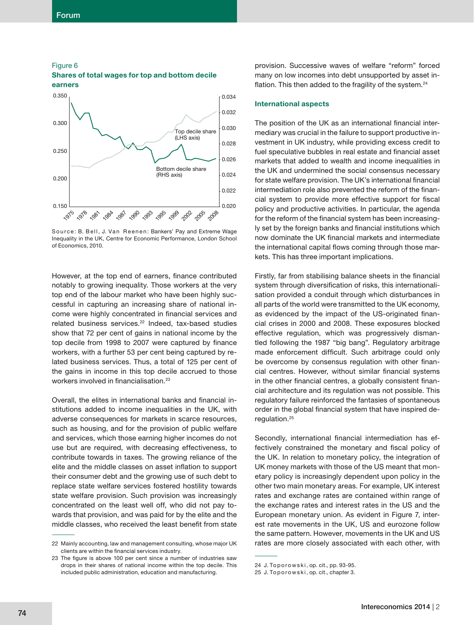#### **Forum**

#### Figure 6





Source: B. Bell, J. Van Reenen: Bankers' Pay and Extreme Wage Inequality in the UK, Centre for Economic Performance, London School of Economics, 2010.

However, at the top end of earners, finance contributed notably to growing inequality. Those workers at the very top end of the labour market who have been highly successful in capturing an increasing share of national income were highly concentrated in financial services and related business services.<sup>22</sup> Indeed, tax-based studies show that 72 per cent of gains in national income by the top decile from 1998 to 2007 were captured by finance workers, with a further 53 per cent being captured by related business services. Thus, a total of 125 per cent of the gains in income in this top decile accrued to those workers involved in financialisation.<sup>23</sup>

Overall, the elites in international banks and financial institutions added to income inequalities in the UK, with adverse consequences for markets in scarce resources, such as housing, and for the provision of public welfare and services, which those earning higher incomes do not use but are required, with decreasing effectiveness, to contribute towards in taxes. The growing reliance of the elite and the middle classes on asset inflation to support their consumer debt and the growing use of such debt to replace state welfare services fostered hostility towards state welfare provision. Such provision was increasingly concentrated on the least well off, who did not pay towards that provision, and was paid for by the elite and the middle classes, who received the least benefit from state

provision. Successive waves of welfare "reform" forced many on low incomes into debt unsupported by asset inflation. This then added to the fragility of the system.<sup>24</sup>

#### **International aspects**

The position of the UK as an international financial intermediary was crucial in the failure to support productive investment in UK industry, while providing excess credit to fuel speculative bubbles in real estate and financial asset markets that added to wealth and income inequalities in the UK and undermined the social consensus necessary for state welfare provision. The UK's international financial intermediation role also prevented the reform of the financial system to provide more effective support for fiscal policy and productive activities. In particular, the agenda for the reform of the financial system has been increasingly set by the foreign banks and financial institutions which now dominate the UK financial markets and intermediate the international capital flows coming through those markets. This has three important implications.

Firstly, far from stabilising balance sheets in the financial system through diversification of risks, this internationalisation provided a conduit through which disturbances in all parts of the world were transmitted to the UK economy, as evidenced by the impact of the US-originated financial crises in 2000 and 2008. These exposures blocked effective regulation, which was progressively dismantled following the 1987 "big bang". Regulatory arbitrage made enforcement difficult. Such arbitrage could only be overcome by consensus regulation with other financial centres. However, without similar financial systems in the other financial centres, a globally consistent financial architecture and its regulation was not possible. This regulatory failure reinforced the fantasies of spontaneous order in the global financial system that have inspired deregulation.25

Secondly, international financial intermediation has effectively constrained the monetary and fiscal policy of the UK. In relation to monetary policy, the integration of UK money markets with those of the US meant that monetary policy is increasingly dependent upon policy in the other two main monetary areas. For example, UK interest rates and exchange rates are contained within range of the exchange rates and interest rates in the US and the European monetary union. As evident in Figure 7, interest rate movements in the UK, US and eurozone follow the same pattern. However, movements in the UK and US rates are more closely associated with each other, with

<sup>22</sup> Mainly accounting, law and management consulting, whose major UK clients are within the financial services industry.

<sup>23</sup> The figure is above 100 per cent since a number of industries saw drops in their shares of national income within the top decile. This included public administration, education and manufacturing.

<sup>24</sup> J. Toporowski, op. cit., pp. 93-95.

<sup>25</sup> J. Toporowski, op. cit., chapter 3.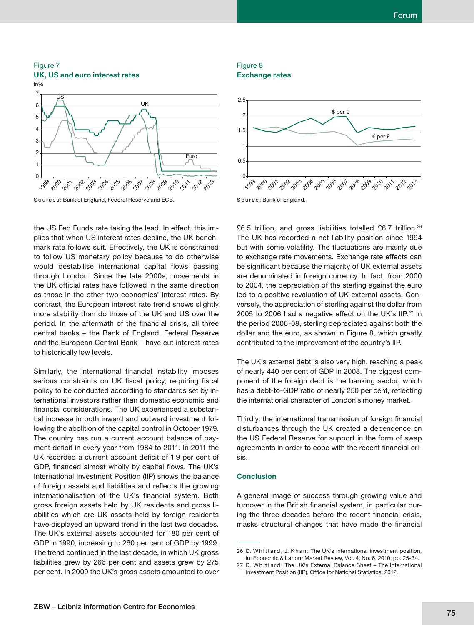Figure 7 **UK, US and euro interest rates**



Sources: Bank of England, Federal Reserve and ECB.

the US Fed Funds rate taking the lead. In effect, this implies that when US interest rates decline, the UK benchmark rate follows suit. Effectively, the UK is constrained to follow US monetary policy because to do otherwise would destabilise international capital flows passing through London. Since the late 2000s, movements in the UK official rates have followed in the same direction as those in the other two economies' interest rates. By contrast, the European interest rate trend shows slightly more stability than do those of the UK and US over the period. In the aftermath of the financial crisis, all three central banks – the Bank of England, Federal Reserve and the European Central Bank – have cut interest rates to historically low levels.

Similarly, the international financial instability imposes serious constraints on UK fiscal policy, requiring fiscal policy to be conducted according to standards set by international investors rather than domestic economic and financial considerations. The UK experienced a substantial increase in both inward and outward investment following the abolition of the capital control in October 1979. The country has run a current account balance of payment deficit in every year from 1984 to 2011. In 2011 the UK recorded a current account deficit of 1.9 per cent of GDP. financed almost wholly by capital flows. The UK's International Investment Position (IIP) shows the balance of foreign assets and liabilities and reflects the growing internationalisation of the UK's financial system. Both gross foreign assets held by UK residents and gross liabilities which are UK assets held by foreign residents have displayed an upward trend in the last two decades. The UK's external assets accounted for 180 per cent of GDP in 1990, increasing to 260 per cent of GDP by 1999. The trend continued in the last decade, in which UK gross liabilities grew by 266 per cent and assets grew by 275 per cent. In 2009 the UK's gross assets amounted to over

#### Figure 8 **Exchange rates**



£6.5 trillion, and gross liabilities totalled £6.7 trillion.<sup>26</sup> The UK has recorded a net liability position since 1994 but with some volatility. The fluctuations are mainly due to exchange rate movements. Exchange rate effects can be significant because the majority of UK external assets are denominated in foreign currency. In fact, from 2000 to 2004, the depreciation of the sterling against the euro led to a positive revaluation of UK external assets. Conversely, the appreciation of sterling against the dollar from 2005 to 2006 had a negative effect on the UK's IIP.<sup>27</sup> In the period 2006-08, sterling depreciated against both the dollar and the euro, as shown in Figure 8, which greatly contributed to the improvement of the country's IIP.

The UK's external debt is also very high, reaching a peak of nearly 440 per cent of GDP in 2008. The biggest component of the foreign debt is the banking sector, which has a debt-to-GDP ratio of nearly 250 per cent, reflecting the international character of London's money market.

Thirdly, the international transmission of foreign financial disturbances through the UK created a dependence on the US Federal Reserve for support in the form of swap agreements in order to cope with the recent financial crisis.

#### **Conclusion**

A general image of success through growing value and turnover in the British financial system, in particular during the three decades before the recent financial crisis, masks structural changes that have made the financial

<sup>26</sup> D. Whittard, J. Khan: The UK's international investment position, in: Economic & Labour Market Review, Vol. 4, No. 6, 2010, pp. 25-34.

<sup>27</sup> D. Whittard: The UK's External Balance Sheet - The International Investment Position (IIP), Office for National Statistics, 2012.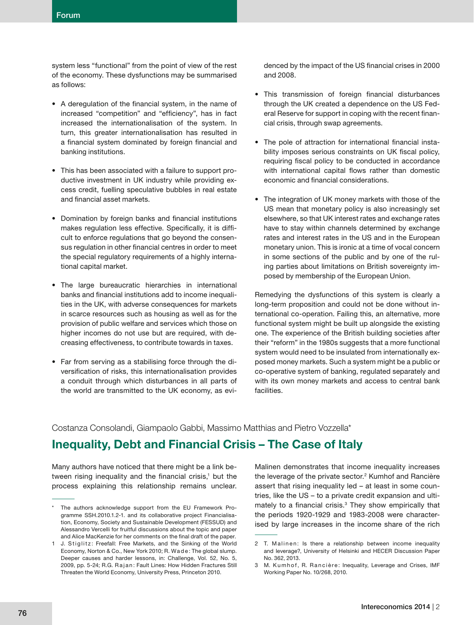system less "functional" from the point of view of the rest of the economy. These dysfunctions may be summarised as follows:

- A deregulation of the financial system, in the name of increased "competition" and "efficiency", has in fact increased the internationalisation of the system. In turn, this greater internationalisation has resulted in a financial system dominated by foreign financial and banking institutions.
- This has been associated with a failure to support productive investment in UK industry while providing excess credit, fuelling speculative bubbles in real estate and financial asset markets.
- Domination by foreign banks and financial institutions makes regulation less effective. Specifically, it is difficult to enforce regulations that go beyond the consensus regulation in other financial centres in order to meet the special regulatory requirements of a highly international capital market.
- The large bureaucratic hierarchies in international banks and financial institutions add to income inequalities in the UK, with adverse consequences for markets in scarce resources such as housing as well as for the provision of public welfare and services which those on higher incomes do not use but are required, with decreasing effectiveness, to contribute towards in taxes.
- Far from serving as a stabilising force through the diversification of risks, this internationalisation provides a conduit through which disturbances in all parts of the world are transmitted to the UK economy, as evi-

denced by the impact of the US financial crises in 2000 and 2008.

- This transmission of foreign financial disturbances through the UK created a dependence on the US Federal Reserve for support in coping with the recent financial crisis, through swap agreements.
- The pole of attraction for international financial instability imposes serious constraints on UK fiscal policy, requiring fiscal policy to be conducted in accordance with international capital flows rather than domestic economic and financial considerations.
- The integration of UK money markets with those of the US mean that monetary policy is also increasingly set elsewhere, so that UK interest rates and exchange rates have to stay within channels determined by exchange rates and interest rates in the US and in the European monetary union. This is ironic at a time of vocal concern in some sections of the public and by one of the ruling parties about limitations on British sovereignty imposed by membership of the European Union.

Remedying the dysfunctions of this system is clearly a long-term proposition and could not be done without international co-operation. Failing this, an alternative, more functional system might be built up alongside the existing one. The experience of the British building societies after their "reform" in the 1980s suggests that a more functional system would need to be insulated from internationally exposed money markets. Such a system might be a public or co-operative system of banking, regulated separately and with its own money markets and access to central bank facilities.

# Costanza Consolandi, Giampaolo Gabbi, Massimo Matthias and Pietro Vozzella\* **Inequality, Debt and Financial Crisis – The Case of Italy**

Many authors have noticed that there might be a link between rising inequality and the financial crisis,<sup>1</sup> but the process explaining this relationship remains unclear.

Malinen demonstrates that income inequality increases the leverage of the private sector.<sup>2</sup> Kumhof and Rancière assert that rising inequality led – at least in some countries, like the US – to a private credit expansion and ultimately to a financial crisis. $3$  They show empirically that the periods 1920-1929 and 1983-2008 were characterised by large increases in the income share of the rich

The authors acknowledge support from the EU Framework Programme SSH.2010.1.2-1. and its collaborative project Financialisation, Economy, Society and Sustainable Development (FESSUD) and Alessandro Vercelli for fruitful discussions about the topic and paper and Alice MacKenzie for her comments on the final draft of the paper.

<sup>1</sup> J. Stiglitz: Freefall: Free Markets, and the Sinking of the World Economy, Norton & Co., New York 2010; R. Wade: The global slump. Deeper causes and harder lessons, in: Challenge, Vol. 52, No. 5, 2009, pp. 5-24; R.G. Rajan: Fault Lines: How Hidden Fractures Still Threaten the World Economy, University Press, Princeton 2010.

<sup>2</sup> T. Malinen: Is there a relationship between income inequality and leverage?, University of Helsinki and HECER Discussion Paper No. 362, 2013.

<sup>3</sup> M. Kumhof, R. Rancière: Inequality, Leverage and Crises, IMF Working Paper No. 10/268, 2010.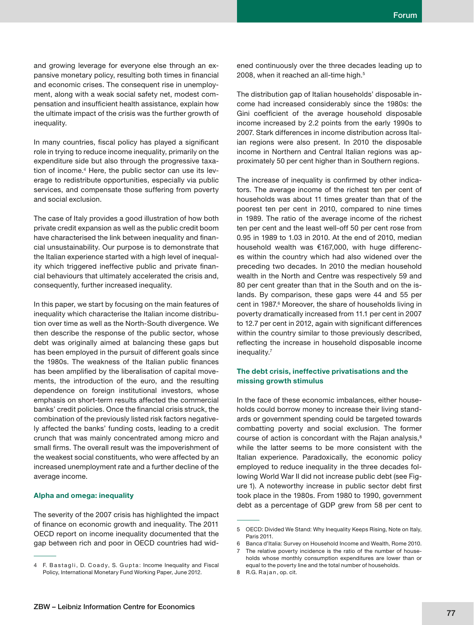and growing leverage for everyone else through an expansive monetary policy, resulting both times in financial and economic crises. The consequent rise in unemployment, along with a weak social safety net, modest compensation and insufficient health assistance, explain how the ultimate impact of the crisis was the further growth of inequality.

In many countries, fiscal policy has played a significant role in trying to reduce income inequality, primarily on the expenditure side but also through the progressive taxation of income.4 Here, the public sector can use its leverage to redistribute opportunities, especially via public services, and compensate those suffering from poverty and social exclusion.

The case of Italy provides a good illustration of how both private credit expansion as well as the public credit boom have characterised the link between inequality and financial unsustainability. Our purpose is to demonstrate that the Italian experience started with a high level of inequality which triggered ineffective public and private financial behaviours that ultimately accelerated the crisis and, consequently, further increased inequality.

In this paper, we start by focusing on the main features of inequality which characterise the Italian income distribution over time as well as the North-South divergence. We then describe the response of the public sector, whose debt was originally aimed at balancing these gaps but has been employed in the pursuit of different goals since the 1980s. The weakness of the Italian public finances has been amplified by the liberalisation of capital movements, the introduction of the euro, and the resulting dependence on foreign institutional investors, whose emphasis on short-term results affected the commercial banks' credit policies. Once the financial crisis struck, the combination of the previously listed risk factors negatively affected the banks' funding costs, leading to a credit crunch that was mainly concentrated among micro and small firms. The overall result was the impoverishment of the weakest social constituents, who were affected by an increased unemployment rate and a further decline of the average income.

#### **Alpha and omega: inequality**

The severity of the 2007 crisis has highlighted the impact of finance on economic growth and inequality. The 2011 OECD report on income inequality documented that the gap between rich and poor in OECD countries had widened continuously over the three decades leading up to 2008, when it reached an all-time high.<sup>5</sup>

The distribution gap of Italian households' disposable income had increased considerably since the 1980s: the Gini coefficient of the average household disposable income increased by 2.2 points from the early 1990s to 2007. Stark differences in income distribution across Italian regions were also present. In 2010 the disposable income in Northern and Central Italian regions was approximately 50 per cent higher than in Southern regions.

The increase of inequality is confirmed by other indicators. The average income of the richest ten per cent of households was about 11 times greater than that of the poorest ten per cent in 2010, compared to nine times in 1989. The ratio of the average income of the richest ten per cent and the least well-off 50 per cent rose from 0.95 in 1989 to 1.03 in 2010. At the end of 2010, median household wealth was €167,000, with huge differences within the country which had also widened over the preceding two decades. In 2010 the median household wealth in the North and Centre was respectively 59 and 80 per cent greater than that in the South and on the islands. By comparison, these gaps were 44 and 55 per cent in 1987.<sup>6</sup> Moreover, the share of households living in poverty dramatically increased from 11.1 per cent in 2007 to 12.7 per cent in 2012, again with significant differences within the country similar to those previously described, reflecting the increase in household disposable income inequality.7

#### **The debt crisis, ineffective privatisations and the missing growth stimulus**

In the face of these economic imbalances, either households could borrow money to increase their living standards or government spending could be targeted towards combatting poverty and social exclusion. The former course of action is concordant with the Rajan analysis,<sup>8</sup> while the latter seems to be more consistent with the Italian experience. Paradoxically, the economic policy employed to reduce inequality in the three decades following World War II did not increase public debt (see Figure 1). A noteworthy increase in public sector debt first took place in the 1980s. From 1980 to 1990, government debt as a percentage of GDP grew from 58 per cent to

<sup>4</sup> F. Bastagli, D. Coady, S. Gupta: Income Inequality and Fiscal Policy, International Monetary Fund Working Paper, June 2012.

<sup>5</sup> OECD: Divided We Stand: Why Inequality Keeps Rising, Note on Italy, Paris 2011.

<sup>6</sup> Banca d'Italia: Survey on Household Income and Wealth, Rome 2010.

The relative poverty incidence is the ratio of the number of households whose monthly consumption expenditures are lower than or equal to the poverty line and the total number of households.

<sup>8</sup> R.G. Rajan, op. cit.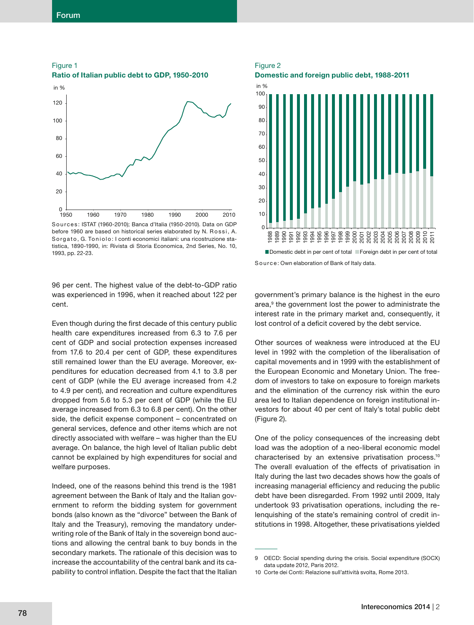#### **Forum**

Figure 1





Sources: ISTAT (1960-2010); Banca d'Italia (1950-2010). Data on GDP before 1960 are based on historical series elaborated by N. Rossi, A. Sorgato, G. Toniolo: I conti economici italiani: una ricostruzione statistica, 1890-1990, in: Rivista di Storia Economica, 2nd Series, No. 10, 1993, pp. 22-23.

#### Figure 2 **Domestic and foreign public debt, 1988-2011**



Source: Own elaboration of Bank of Italy data. Domestic debt in per cent of total Foreign debt in per cent of total

96 per cent. The highest value of the debt-to-GDP ratio was experienced in 1996, when it reached about 122 per cent.

Even though during the first decade of this century public health care expenditures increased from 6.3 to 7.6 per cent of GDP and social protection expenses increased from 17.6 to 20.4 per cent of GDP, these expenditures still remained lower than the EU average. Moreover, expenditures for education decreased from 4.1 to 3.8 per cent of GDP (while the EU average increased from 4.2 to 4.9 per cent), and recreation and culture expenditures dropped from 5.6 to 5.3 per cent of GDP (while the EU average increased from 6.3 to 6.8 per cent). On the other side, the deficit expense component  $-$  concentrated on general services, defence and other items which are not directly associated with welfare – was higher than the EU average. On balance, the high level of Italian public debt cannot be explained by high expenditures for social and welfare purposes.

Indeed, one of the reasons behind this trend is the 1981 agreement between the Bank of Italy and the Italian government to reform the bidding system for government bonds (also known as the "divorce" between the Bank of Italy and the Treasury), removing the mandatory underwriting role of the Bank of Italy in the sovereign bond auctions and allowing the central bank to buy bonds in the secondary markets. The rationale of this decision was to increase the accountability of the central bank and its capability to control inflation. Despite the fact that the Italian government's primary balance is the highest in the euro area,<sup>9</sup> the government lost the power to administrate the interest rate in the primary market and, consequently, it lost control of a deficit covered by the debt service.

Other sources of weakness were introduced at the EU level in 1992 with the completion of the liberalisation of capital movements and in 1999 with the establishment of the European Economic and Monetary Union. The freedom of investors to take on exposure to foreign markets and the elimination of the currency risk within the euro area led to Italian dependence on foreign institutional investors for about 40 per cent of Italy's total public debt (Figure 2).

One of the policy consequences of the increasing debt load was the adoption of a neo-liberal economic model characterised by an extensive privatisation process.<sup>10</sup> The overall evaluation of the effects of privatisation in Italy during the last two decades shows how the goals of increasing managerial efficiency and reducing the public debt have been disregarded. From 1992 until 2009, Italy undertook 93 privatisation operations, including the relenquishing of the state's remaining control of credit institutions in 1998. Altogether, these privatisations yielded

<sup>9</sup> OECD: Social spending during the crisis. Social expenditure (SOCX) data update 2012, Paris 2012.

<sup>10</sup> Corte dei Conti: Relazione sull'attività svolta, Rome 2013.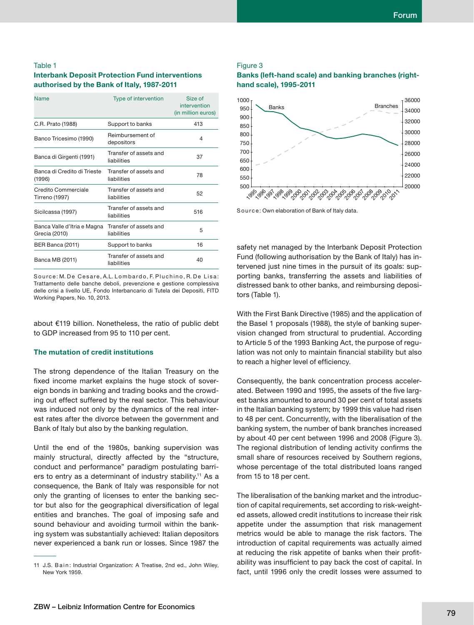#### Table 1

#### **Interbank Deposit Protection Fund interventions authorised by the Bank of Italy, 1987-2011**

| <b>Name</b>                                  | Type of intervention                  | Size of<br>intervention<br>(in million euros) |
|----------------------------------------------|---------------------------------------|-----------------------------------------------|
| C.R. Prato (1988)                            | Support to banks                      | 413                                           |
| Banco Tricesimo (1990)                       | Reimbursement of<br>depositors        | 4                                             |
| Banca di Girgenti (1991)                     | Transfer of assets and<br>liabilities | 37                                            |
| Banca di Credito di Trieste<br>(1996)        | Transfer of assets and<br>liabilities | 78                                            |
| Credito Commerciale<br>Tirreno (1997)        | Transfer of assets and<br>liabilities | 52                                            |
| Sicilcassa (1997)                            | Transfer of assets and<br>liabilities | 516                                           |
| Banca Valle d'Itria e Magna<br>Grecia (2010) | Transfer of assets and<br>liabilities | 5                                             |
| BER Banca (2011)                             | Support to banks                      | 16                                            |
| Banca MB (2011)                              | Transfer of assets and<br>liabilities | 40                                            |

Source: M. De Cesare, A.L. Lombardo, F. Pluchino, R. De Lisa: Trattamento delle banche deboli, prevenzione e gestione complessiva delle crisi a livello UE, Fondo Interbancario di Tutela dei Depositi, FITD Working Papers, No. 10, 2013.

about €119 billion. Nonetheless, the ratio of public debt to GDP increased from 95 to 110 per cent.

#### **The mutation of credit institutions**

The strong dependence of the Italian Treasury on the fixed income market explains the huge stock of sovereign bonds in banking and trading books and the crowding out effect suffered by the real sector. This behaviour was induced not only by the dynamics of the real interest rates after the divorce between the government and Bank of Italy but also by the banking regulation.

Until the end of the 1980s, banking supervision was mainly structural, directly affected by the "structure, conduct and performance" paradigm postulating barriers to entry as a determinant of industry stability.<sup>11</sup> As a consequence, the Bank of Italy was responsible for not only the granting of licenses to enter the banking sector but also for the geographical diversification of legal entities and branches. The goal of imposing safe and sound behaviour and avoiding turmoil within the banking system was substantially achieved: Italian depositors never experienced a bank run or losses. Since 1987 the

#### Figure 3

#### **Banks (left-hand scale) and banking branches (righthand scale), 1995-2011**



Source: Own elaboration of Bank of Italy data.

safety net managed by the Interbank Deposit Protection Fund (following authorisation by the Bank of Italy) has intervened just nine times in the pursuit of its goals: supporting banks, transferring the assets and liabilities of distressed bank to other banks, and reimbursing depositors (Table 1).

With the First Bank Directive (1985) and the application of the Basel 1 proposals (1988), the style of banking supervision changed from structural to prudential. According to Article 5 of the 1993 Banking Act, the purpose of regulation was not only to maintain financial stability but also to reach a higher level of efficiency.

Consequently, the bank concentration process accelerated. Between 1990 and 1995, the assets of the five largest banks amounted to around 30 per cent of total assets in the Italian banking system; by 1999 this value had risen to 48 per cent. Concurrently, with the liberalisation of the banking system, the number of bank branches increased by about 40 per cent between 1996 and 2008 (Figure 3). The regional distribution of lending activity confirms the small share of resources received by Southern regions, whose percentage of the total distributed loans ranged from 15 to 18 per cent.

The liberalisation of the banking market and the introduction of capital requirements, set according to risk-weighted assets, allowed credit institutions to increase their risk appetite under the assumption that risk management metrics would be able to manage the risk factors. The introduction of capital requirements was actually aimed at reducing the risk appetite of banks when their profitability was insufficient to pay back the cost of capital. In fact, until 1996 only the credit losses were assumed to

<sup>11</sup> J.S. Bain: Industrial Organization: A Treatise, 2nd ed., John Wiley, New York 1959.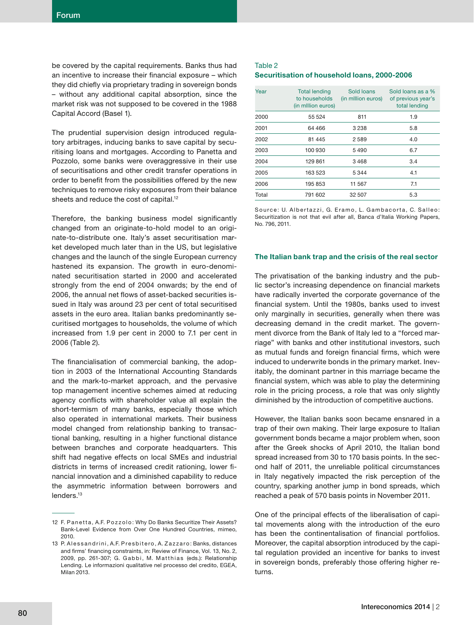be covered by the capital requirements. Banks thus had an incentive to increase their financial exposure  $-$  which they did chiefly via proprietary trading in sovereign bonds – without any additional capital absorption, since the market risk was not supposed to be covered in the 1988 Capital Accord (Basel 1).

The prudential supervision design introduced regulatory arbitrages, inducing banks to save capital by securitising loans and mortgages. According to Panetta and Pozzolo, some banks were overaggressive in their use of securitisations and other credit transfer operations in order to benefit from the possibilities offered by the new techniques to remove risky exposures from their balance sheets and reduce the cost of capital.<sup>12</sup>

Therefore, the banking business model significantly changed from an originate-to-hold model to an originate-to-distribute one. Italy's asset securitisation market developed much later than in the US, but legislative changes and the launch of the single European currency hastened its expansion. The growth in euro-denominated securitisation started in 2000 and accelerated strongly from the end of 2004 onwards; by the end of 2006, the annual net flows of asset-backed securities issued in Italy was around 23 per cent of total securitised assets in the euro area. Italian banks predominantly securitised mortgages to households, the volume of which increased from 1.9 per cent in 2000 to 7.1 per cent in 2006 (Table 2).

The financialisation of commercial banking, the adoption in 2003 of the International Accounting Standards and the mark-to-market approach, and the pervasive top management incentive schemes aimed at reducing agency conflicts with shareholder value all explain the short-termism of many banks, especially those which also operated in international markets. Their business model changed from relationship banking to transactional banking, resulting in a higher functional distance between branches and corporate headquarters. This shift had negative effects on local SMEs and industrial districts in terms of increased credit rationing, lower financial innovation and a diminished capability to reduce the asymmetric information between borrowers and lenders.<sup>13</sup>

#### Table 2 **Securitisation of household loans, 2000-2006**

| Year  | <b>Total lending</b><br>to households<br>(in million euros) | Sold loans<br>(in million euros) | Sold loans as a %<br>of previous year's<br>total lending |
|-------|-------------------------------------------------------------|----------------------------------|----------------------------------------------------------|
| 2000  | 55 524                                                      | 811                              | 1.9                                                      |
| 2001  | 64 466                                                      | 3 2 3 8                          | 5.8                                                      |
| 2002  | 81 445                                                      | 2589                             | 4.0                                                      |
| 2003  | 100 930                                                     | 5490                             | 6.7                                                      |
| 2004  | 129 861                                                     | 3468                             | 3.4                                                      |
| 2005  | 163 523                                                     | 5344                             | 4.1                                                      |
| 2006  | 195 853                                                     | 11 567                           | 7.1                                                      |
| Total | 791 602                                                     | 32 507                           | 5.3                                                      |

Source: U. Albertazzi, G. Eramo, L. Gambacorta, C. Salleo: Securitization is not that evil after all, Banca d'Italia Working Papers, No. 796, 2011.

#### **The Italian bank trap and the crisis of the real sector**

The privatisation of the banking industry and the public sector's increasing dependence on financial markets have radically inverted the corporate governance of the financial system. Until the 1980s, banks used to invest only marginally in securities, generally when there was decreasing demand in the credit market. The government divorce from the Bank of Italy led to a "forced marriage" with banks and other institutional investors, such as mutual funds and foreign financial firms, which were induced to underwrite bonds in the primary market. Inevitably, the dominant partner in this marriage became the financial system, which was able to play the determining role in the pricing process, a role that was only slightly diminished by the introduction of competitive auctions.

However, the Italian banks soon became ensnared in a trap of their own making. Their large exposure to Italian government bonds became a major problem when, soon after the Greek shocks of April 2010, the Italian bond spread increased from 30 to 170 basis points. In the second half of 2011, the unreliable political circumstances in Italy negatively impacted the risk perception of the country, sparking another jump in bond spreads, which reached a peak of 570 basis points in November 2011.

One of the principal effects of the liberalisation of capital movements along with the introduction of the euro has been the continentalisation of financial portfolios. Moreover, the capital absorption introduced by the capital regulation provided an incentive for banks to invest in sovereign bonds, preferably those offering higher returns.

<sup>12</sup> F. Panetta, A.F. Pozzolo: Why Do Banks Securitize Their Assets? Bank-Level Evidence from Over One Hundred Countries, mimeo, 2010.

<sup>13</sup> P. Alessandrini, A.F. Presbitero, A. Zazzaro: Banks, distances and firms' financing constraints, in: Review of Finance, Vol. 13, No. 2, 2009, pp. 261-307; G. Gabbi, M. Matthias (eds.): Relationship Lending. Le informazioni qualitative nel processo del credito, EGEA, Milan 2013.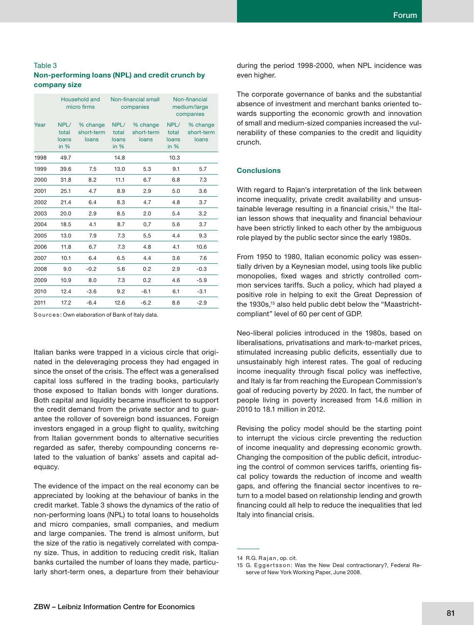#### Table 3

#### **Non-performing loans (NPL) and credit crunch by company size**

|      |                                  | Household and<br>micro firms    |                                  | Non-financial small<br>companies | Non-financial<br>medium/large<br>companies |                                 |  |
|------|----------------------------------|---------------------------------|----------------------------------|----------------------------------|--------------------------------------------|---------------------------------|--|
| Year | NPL/<br>total<br>loans<br>in $%$ | % change<br>short-term<br>loans | NPL/<br>total<br>loans<br>in $%$ | % change<br>short-term<br>loans  | NPL/<br>total<br>loans<br>in $%$           | % change<br>short-term<br>loans |  |
| 1998 | 49.7                             |                                 | 14.8                             |                                  | 10.3                                       |                                 |  |
| 1999 | 39.6                             | 7.5                             | 13.0                             | 5.3                              | 9.1                                        | 5.7                             |  |
| 2000 | 31.8                             | 8.2                             | 11.1                             | 6.7                              | 6.8                                        | 7.3                             |  |
| 2001 | 25.1                             | 4.7                             | 8.9                              | 2.9                              | 5.0                                        | 3.6                             |  |
| 2002 | 21.4                             | 6.4                             | 8.3                              | 4.7                              | 4.8                                        | 3.7                             |  |
| 2003 | 20.0                             | 2.9                             | 8.5                              | 2.0                              | 5.4                                        | 3.2                             |  |
| 2004 | 18.5                             | 4.1                             | 8.7                              | 0,7                              | 5.6                                        | 3.7                             |  |
| 2005 | 13.0                             | 7.9                             | 7.3                              | 5,5                              | 4.4                                        | 9.3                             |  |
| 2006 | 11.8                             | 6.7                             | 7.3                              | 4.8                              | 4.1                                        | 10.6                            |  |
| 2007 | 10.1                             | 6.4                             | 6.5                              | 4.4                              | 3.6                                        | 7.6                             |  |
| 2008 | 9.0                              | $-0.2$                          | 5.6                              | 0.2                              | 2.9                                        | $-0.3$                          |  |
| 2009 | 10.9                             | 8.0                             | 7.3                              | 0.2                              | 4.6                                        | $-5.9$                          |  |
| 2010 | 12.4                             | $-3.6$                          | 9.2                              | $-6.1$                           | 6.1                                        | $-3.1$                          |  |
| 2011 | 17.2                             | $-6.4$                          | 12.6                             | $-6.2$                           | 8.6                                        | $-2.9$                          |  |

Sources: Own elaboration of Bank of Italy data.

Italian banks were trapped in a vicious circle that originated in the deleveraging process they had engaged in since the onset of the crisis. The effect was a generalised capital loss suffered in the trading books, particularly those exposed to Italian bonds with longer durations. Both capital and liquidity became insufficient to support the credit demand from the private sector and to guarantee the rollover of sovereign bond issuances. Foreign investors engaged in a group flight to quality, switching from Italian government bonds to alternative securities regarded as safer, thereby compounding concerns related to the valuation of banks' assets and capital adequacy.

The evidence of the impact on the real economy can be appreciated by looking at the behaviour of banks in the credit market. Table 3 shows the dynamics of the ratio of non-performing loans (NPL) to total loans to households and micro companies, small companies, and medium and large companies. The trend is almost uniform, but the size of the ratio is negatively correlated with company size. Thus, in addition to reducing credit risk, Italian banks curtailed the number of loans they made, particularly short-term ones, a departure from their behaviour

during the period 1998-2000, when NPL incidence was even higher.

The corporate governance of banks and the substantial absence of investment and merchant banks oriented towards supporting the economic growth and innovation of small and medium-sized companies increased the vulnerability of these companies to the credit and liquidity crunch.

#### **Conclusions**

With regard to Rajan's interpretation of the link between income inequality, private credit availability and unsus $t$ ainable leverage resulting in a financial crisis, $14$  the Italian lesson shows that inequality and financial behaviour have been strictly linked to each other by the ambiguous role played by the public sector since the early 1980s.

From 1950 to 1980, Italian economic policy was essentially driven by a Keynesian model, using tools like public monopolies, fixed wages and strictly controlled common services tariffs. Such a policy, which had played a positive role in helping to exit the Great Depression of the 1930s,15 also held public debt below the "Maastrichtcompliant" level of 60 per cent of GDP.

Neo-liberal policies introduced in the 1980s, based on liberalisations, privatisations and mark-to-market prices, stimulated increasing public deficits, essentially due to unsustainably high interest rates. The goal of reducing income inequality through fiscal policy was ineffective, and Italy is far from reaching the European Commission's goal of reducing poverty by 2020. In fact, the number of people living in poverty increased from 14.6 million in 2010 to 18.1 million in 2012.

Revising the policy model should be the starting point to interrupt the vicious circle preventing the reduction of income inequality and depressing economic growth. Changing the composition of the public deficit, introducing the control of common services tariffs, orienting fiscal policy towards the reduction of income and wealth gaps, and offering the financial sector incentives to return to a model based on relationship lending and growth financing could all help to reduce the inequalities that led Italy into financial crisis.

<sup>14</sup> R.G. Rajan, op. cit.

<sup>15</sup> G. Eggertsson: Was the New Deal contractionary?, Federal Reserve of New York Working Paper, June 2008.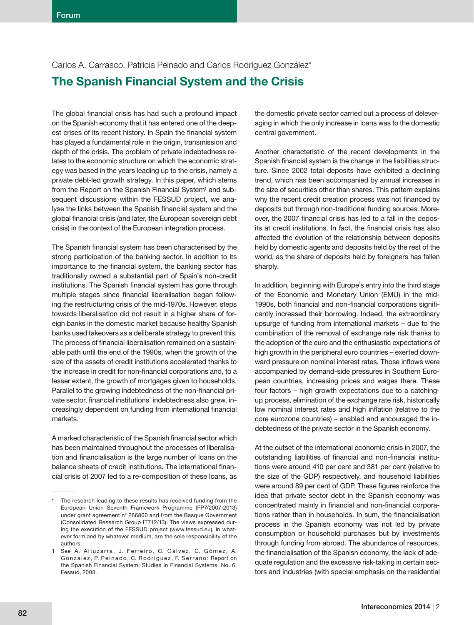Carlos A. Carrasco, Patricia Peinado and Carlos Rodríguez González\*

# **The Spanish Financial System and the Crisis**

The global financial crisis has had such a profound impact on the Spanish economy that it has entered one of the deepest crises of its recent history. In Spain the financial system has played a fundamental role in the origin, transmission and depth of the crisis. The problem of private indebtedness relates to the economic structure on which the economic strategy was based in the years leading up to the crisis, namely a private debt-led growth strategy. In this paper, which stems from the Report on the Spanish Financial System<sup>1</sup> and subsequent discussions within the FESSUD project, we analyse the links between the Spanish financial system and the global financial crisis (and later, the European sovereign debt crisis) in the context of the European integration process.

The Spanish financial system has been characterised by the strong participation of the banking sector. In addition to its importance to the financial system, the banking sector has traditionally owned a substantial part of Spain's non-credit institutions. The Spanish financial system has gone through multiple stages since financial liberalisation began following the restructuring crisis of the mid-1970s. However, steps towards liberalisation did not result in a higher share of foreign banks in the domestic market because healthy Spanish banks used takeovers as a deliberate strategy to prevent this. The process of financial liberalisation remained on a sustainable path until the end of the 1990s, when the growth of the size of the assets of credit institutions accelerated thanks to the increase in credit for non-financial corporations and, to a lesser extent, the growth of mortgages given to households. Parallel to the growing indebtedness of the non-financial private sector, financial institutions' indebtedness also grew, increasingly dependent on funding from international financial markets.

A marked characteristic of the Spanish financial sector which has been maintained throughout the processes of liberalisation and financialisation is the large number of loans on the balance sheets of credit institutions. The international financial crisis of 2007 led to a re-composition of these loans, as

the domestic private sector carried out a process of deleveraging in which the only increase in loans was to the domestic central government.

Another characteristic of the recent developments in the Spanish financial system is the change in the liabilities structure. Since 2002 total deposits have exhibited a declining trend, which has been accompanied by annual increases in the size of securities other than shares. This pattern explains why the recent credit creation process was not financed by deposits but through non-traditional funding sources. Moreover, the 2007 financial crisis has led to a fall in the deposits at credit institutions. In fact, the financial crisis has also affected the evolution of the relationship between deposits held by domestic agents and deposits held by the rest of the world, as the share of deposits held by foreigners has fallen sharply.

In addition, beginning with Europe's entry into the third stage of the Economic and Monetary Union (EMU) in the mid-1990s, both financial and non-financial corporations significantly increased their borrowing. Indeed, the extraordinary upsurge of funding from international markets – due to the combination of the removal of exchange rate risk thanks to the adoption of the euro and the enthusiastic expectations of high growth in the peripheral euro countries – exerted downward pressure on nominal interest rates. Those inflows were accompanied by demand-side pressures in Southern European countries, increasing prices and wages there. These four factors – high growth expectations due to a catchingup process, elimination of the exchange rate risk, historically low nominal interest rates and high inflation (relative to the core eurozone countries) – enabled and encouraged the indebtedness of the private sector in the Spanish economy.

At the outset of the international economic crisis in 2007, the outstanding liabilities of financial and non-financial institutions were around 410 per cent and 381 per cent (relative to the size of the GDP) respectively, and household liabilities were around 89 per cent of GDP. These figures reinforce the idea that private sector debt in the Spanish economy was concentrated mainly in financial and non-financial corporations rather than in households. In sum, the financialisation process in the Spanish economy was not led by private consumption or household purchases but by investments through funding from abroad. The abundance of resources, the financialisation of the Spanish economy, the lack of adequate regulation and the excessive risk-taking in certain sectors and industries (with special emphasis on the residential

The research leading to these results has received funding from the European Union Seventh Framework Programme (FP7/2007-2013) under grant agreement n° 266800 and from the Basque Government (Consolidated Research Group IT712/13). The views expressed during the execution of the FESSUD project (www.fessud.eu), in whatever form and by whatever medium, are the sole responsibility of the authors.

<sup>1</sup> See A. Altuzarra, J. Ferreiro, C. Gálvez, C. Gómez, A. González, P. Peinado, C. Rodríguez, F. Serrano: Report on the Spanish Financial System, Studies in Financial Systems, No. 6, Fessud, 2003.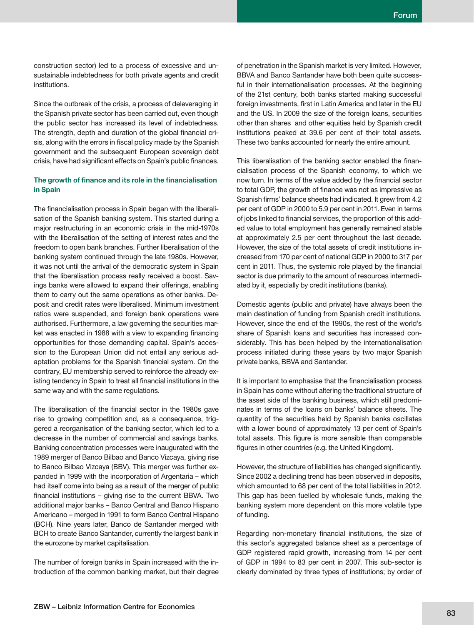construction sector) led to a process of excessive and unsustainable indebtedness for both private agents and credit institutions.

Since the outbreak of the crisis, a process of deleveraging in the Spanish private sector has been carried out, even though the public sector has increased its level of indebtedness. The strength, depth and duration of the global financial crisis, along with the errors in fiscal policy made by the Spanish government and the subsequent European sovereign debt crisis, have had significant effects on Spain's public finances.

#### The growth of finance and its role in the financialisation **in Spain**

The financialisation process in Spain began with the liberalisation of the Spanish banking system. This started during a major restructuring in an economic crisis in the mid-1970s with the liberalisation of the setting of interest rates and the freedom to open bank branches. Further liberalisation of the banking system continued through the late 1980s. However, it was not until the arrival of the democratic system in Spain that the liberalisation process really received a boost. Savings banks were allowed to expand their offerings, enabling them to carry out the same operations as other banks. Deposit and credit rates were liberalised. Minimum investment ratios were suspended, and foreign bank operations were authorised. Furthermore, a law governing the securities market was enacted in 1988 with a view to expanding financing opportunities for those demanding capital. Spain's accession to the European Union did not entail any serious adaptation problems for the Spanish financial system. On the contrary, EU membership served to reinforce the already existing tendency in Spain to treat all financial institutions in the same way and with the same regulations.

The liberalisation of the financial sector in the 1980s gave rise to growing competition and, as a consequence, triggered a reorganisation of the banking sector, which led to a decrease in the number of commercial and savings banks. Banking concentration processes were inaugurated with the 1989 merger of Banco Bilbao and Banco Vizcaya, giving rise to Banco Bilbao Vizcaya (BBV). This merger was further expanded in 1999 with the incorporation of Argentaria – which had itself come into being as a result of the merger of public financial institutions  $-$  giving rise to the current BBVA. Two additional major banks – Banco Central and Banco Hispano Americano – merged in 1991 to form Banco Central Hispano (BCH). Nine years later, Banco de Santander merged with BCH to create Banco Santander, currently the largest bank in the eurozone by market capitalisation.

The number of foreign banks in Spain increased with the introduction of the common banking market, but their degree

of penetration in the Spanish market is very limited. However, BBVA and Banco Santander have both been quite successful in their internationalisation processes. At the beginning of the 21st century, both banks started making successful foreign investments, first in Latin America and later in the EU and the US. In 2009 the size of the foreign loans, securities other than shares and other equities held by Spanish credit institutions peaked at 39.6 per cent of their total assets. These two banks accounted for nearly the entire amount.

This liberalisation of the banking sector enabled the financialisation process of the Spanish economy, to which we now turn. In terms of the value added by the financial sector to total GDP, the growth of finance was not as impressive as Spanish firms' balance sheets had indicated. It grew from 4.2 per cent of GDP in 2000 to 5.9 per cent in 2011. Even in terms of jobs linked to financial services, the proportion of this added value to total employment has generally remained stable at approximately 2.5 per cent throughout the last decade. However, the size of the total assets of credit institutions increased from 170 per cent of national GDP in 2000 to 317 per cent in 2011. Thus, the systemic role played by the financial sector is due primarily to the amount of resources intermediated by it, especially by credit institutions (banks).

Domestic agents (public and private) have always been the main destination of funding from Spanish credit institutions. However, since the end of the 1990s, the rest of the world's share of Spanish loans and securities has increased considerably. This has been helped by the internationalisation process initiated during these years by two major Spanish private banks, BBVA and Santander.

It is important to emphasise that the financialisation process in Spain has come without altering the traditional structure of the asset side of the banking business, which still predominates in terms of the loans on banks' balance sheets. The quantity of the securities held by Spanish banks oscillates with a lower bound of approximately 13 per cent of Spain's total assets. This figure is more sensible than comparable figures in other countries (e.g. the United Kingdom).

However, the structure of liabilities has changed significantly. Since 2002 a declining trend has been observed in deposits, which amounted to 68 per cent of the total liabilities in 2012. This gap has been fuelled by wholesale funds, making the banking system more dependent on this more volatile type of funding.

Regarding non-monetary financial institutions, the size of this sector's aggregated balance sheet as a percentage of GDP registered rapid growth, increasing from 14 per cent of GDP in 1994 to 83 per cent in 2007. This sub-sector is clearly dominated by three types of institutions; by order of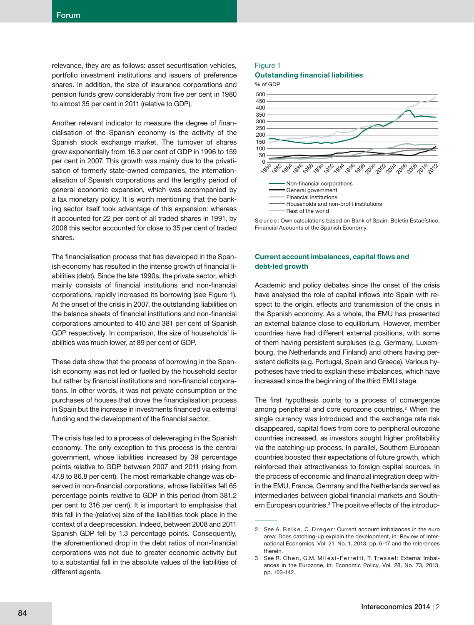relevance, they are as follows: asset securitisation vehicles, portfolio investment institutions and issuers of preference shares. In addition, the size of insurance corporations and pension funds grew considerably from five per cent in 1980 to almost 35 per cent in 2011 (relative to GDP).

Another relevant indicator to measure the degree of financialisation of the Spanish economy is the activity of the Spanish stock exchange market. The turnover of shares grew exponentially from 16.3 per cent of GDP in 1996 to 159 per cent in 2007. This growth was mainly due to the privatisation of formerly state-owned companies, the internationalisation of Spanish corporations and the lengthy period of general economic expansion, which was accompanied by a lax monetary policy. It is worth mentioning that the banking sector itself took advantage of this expansion: whereas it accounted for 22 per cent of all traded shares in 1991, by 2008 this sector accounted for close to 35 per cent of traded shares.

The financialisation process that has developed in the Spanish economy has resulted in the intense growth of financial liabilities (debt). Since the late 1990s, the private sector, which mainly consists of financial institutions and non-financial corporations, rapidly increased its borrowing (see Figure 1). At the onset of the crisis in 2007, the outstanding liabilities on the balance sheets of financial institutions and non-financial corporations amounted to 410 and 381 per cent of Spanish GDP respectively. In comparison, the size of households' liabilities was much lower, at 89 per cent of GDP.

These data show that the process of borrowing in the Spanish economy was not led or fuelled by the household sector but rather by financial institutions and non-financial corporations. In other words, it was not private consumption or the purchases of houses that drove the financialisation process in Spain but the increase in investments financed via external funding and the development of the financial sector.

The crisis has led to a process of deleveraging in the Spanish economy. The only exception to this process is the central government, whose liabilities increased by 39 percentage points relative to GDP between 2007 and 2011 (rising from 47.8 to 86.8 per cent). The most remarkable change was observed in non-financial corporations, whose liabilities fell 65 percentage points relative to GDP in this period (from 381.2 per cent to 316 per cent). It is important to emphasise that this fall in the (relative) size of the liabilities took place in the context of a deep recession. Indeed, between 2008 and 2011 Spanish GDP fell by 1.3 percentage points. Consequently, the aforementioned drop in the debt ratios of non-financial corporations was not due to greater economic activity but to a substantial fall in the absolute values of the liabilities of different agents.

### Figure 1



Source: Own calculations based on Bank of Spain, Boletín Estadístico, Financial Accounts of the Spanish Economy.

#### **Current account imbalances, capital flows and debt-led growth**

Academic and policy debates since the onset of the crisis have analysed the role of capital inflows into Spain with respect to the origin, effects and transmission of the crisis in the Spanish economy. As a whole, the EMU has presented an external balance close to equilibrium. However, member countries have had different external positions, with some of them having persistent surpluses (e.g. Germany, Luxembourg, the Netherlands and Finland) and others having persistent deficits (e.g. Portugal, Spain and Greece). Various hypotheses have tried to explain these imbalances, which have increased since the beginning of the third EMU stage.

The first hypothesis points to a process of convergence among peripheral and core eurozone countries.<sup>2</sup> When the single currency was introduced and the exchange rate risk disappeared, capital flows from core to peripheral eurozone countries increased, as investors sought higher profitability via the catching-up process. In parallel, Southern European countries boosted their expectations of future growth, which reinforced their attractiveness to foreign capital sources. In the process of economic and financial integration deep within the EMU, France, Germany and the Netherlands served as intermediaries between global financial markets and Southern European countries.<sup>3</sup> The positive effects of the introduc-

<sup>2</sup> See A. Belke, C. Dreger: Current account imbalances in the euro area: Does catching-up explain the development, in: Review of International Economics, Vol. 21, No. 1, 2013, pp. 6-17 and the references therein.

<sup>3</sup> See R. Chen, G.M. Milesi-Ferretti, T. Tressel: External Imbalances in the Eurozone, in: Economic Policy, Vol. 28, No. 73, 2013, pp. 103-142.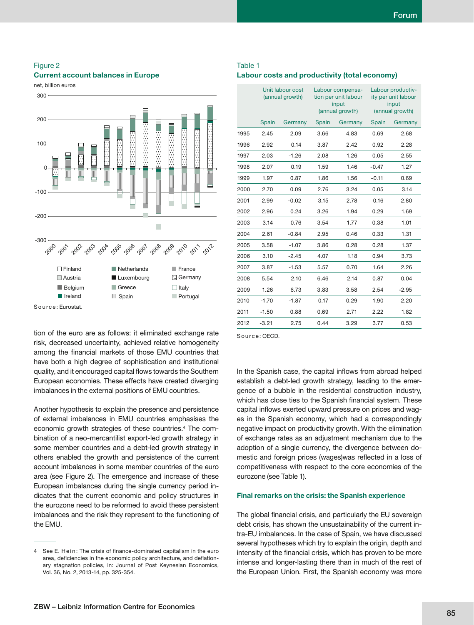#### Figure 2



net, billion euros



tion of the euro are as follows: it eliminated exchange rate risk, decreased uncertainty, achieved relative homogeneity among the financial markets of those EMU countries that have both a high degree of sophistication and institutional quality, and it encouraged capital flows towards the Southern European economies. These effects have created diverging imbalances in the external positions of EMU countries.

Another hypothesis to explain the presence and persistence of external imbalances in EMU countries emphasises the economic growth strategies of these countries.<sup>4</sup> The combination of a neo-mercantilist export-led growth strategy in some member countries and a debt-led growth strategy in others enabled the growth and persistence of the current account imbalances in some member countries of the euro area (see Figure 2). The emergence and increase of these European imbalances during the single currency period indicates that the current economic and policy structures in the eurozone need to be reformed to avoid these persistent imbalances and the risk they represent to the functioning of the EMU.

#### Table 1 **Labour costs and productivity (total economy)**

|      | Unit labour cost<br>(annual growth) |         |       | Labour compensa-<br>tion per unit labour<br>input<br>(annual growth) | Labour productiv-<br>ity per unit labour<br>input<br>(annual growth) |         |  |
|------|-------------------------------------|---------|-------|----------------------------------------------------------------------|----------------------------------------------------------------------|---------|--|
|      | Spain                               | Germany | Spain | Germany                                                              | Spain                                                                | Germany |  |
| 1995 | 2.45                                | 2.09    | 3.66  | 4.83                                                                 | 0.69                                                                 | 2.68    |  |
| 1996 | 2.92                                | 0.14    | 3.87  | 2.42                                                                 | 0.92                                                                 | 2.28    |  |
| 1997 | 2.03                                | $-1.26$ | 2.08  | 1.26                                                                 | 0.05                                                                 | 2.55    |  |
| 1998 | 2.07                                | 0.19    | 1.59  | 1.46                                                                 | $-0.47$                                                              | 1.27    |  |
| 1999 | 1.97                                | 0.87    | 1.86  | 1.56                                                                 | $-0.11$                                                              | 0.69    |  |
| 2000 | 2.70                                | 0.09    | 2.76  | 3.24                                                                 | 0.05                                                                 | 3.14    |  |
| 2001 | 2.99                                | $-0.02$ | 3.15  | 2.78                                                                 | 0.16                                                                 | 2.80    |  |
| 2002 | 2.96                                | 0.24    | 3.26  | 1.94                                                                 | 0.29                                                                 | 1.69    |  |
| 2003 | 3.14                                | 0.76    | 3.54  | 1.77                                                                 | 0.38                                                                 | 1.01    |  |
| 2004 | 2.61                                | $-0.84$ | 2.95  | 0.46                                                                 | 0.33                                                                 | 1.31    |  |
| 2005 | 3.58                                | $-1.07$ | 3.86  | 0.28                                                                 | 0.28                                                                 | 1.37    |  |
| 2006 | 3.10                                | $-2.45$ | 4.07  | 1.18                                                                 | 0.94                                                                 | 3.73    |  |
| 2007 | 3.87                                | $-1.53$ | 5.57  | 0.70                                                                 | 1.64                                                                 | 2.26    |  |
| 2008 | 5.54                                | 2.10    | 6.46  | 2.14                                                                 | 0.87                                                                 | 0.04    |  |
| 2009 | 1.26                                | 6.73    | 3.83  | 3.58                                                                 | 2.54                                                                 | $-2.95$ |  |
| 2010 | $-1.70$                             | $-1.87$ | 0.17  | 0.29                                                                 | 1.90                                                                 | 2.20    |  |
| 2011 | $-1.50$                             | 0.88    | 0.69  | 2.71                                                                 | 2.22                                                                 | 1.82    |  |
| 2012 | $-3.21$                             | 2.75    | 0.44  | 3.29                                                                 | 3.77                                                                 | 0.53    |  |

Source: OECD.

In the Spanish case, the capital inflows from abroad helped establish a debt-led growth strategy, leading to the emergence of a bubble in the residential construction industry, which has close ties to the Spanish financial system. These capital inflows exerted upward pressure on prices and wages in the Spanish economy, which had a correspondingly negative impact on productivity growth. With the elimination of exchange rates as an adjustment mechanism due to the adoption of a single currency, the divergence between domestic and foreign prices (wages)was reflected in a loss of competitiveness with respect to the core economies of the eurozone (see Table 1).

#### **Final remarks on the crisis: the Spanish experience**

The global financial crisis, and particularly the EU sovereign debt crisis, has shown the unsustainability of the current intra-EU imbalances. In the case of Spain, we have discussed several hypotheses which try to explain the origin, depth and intensity of the financial crisis, which has proven to be more intense and longer-lasting there than in much of the rest of the European Union. First, the Spanish economy was more

<sup>4</sup> See E. Hein: The crisis of finance-dominated capitalism in the euro area, deficiencies in the economic policy architecture, and deflationary stagnation policies, in: Journal of Post Keynesian Economics, Vol. 36, No. 2, 2013-14, pp. 325-354.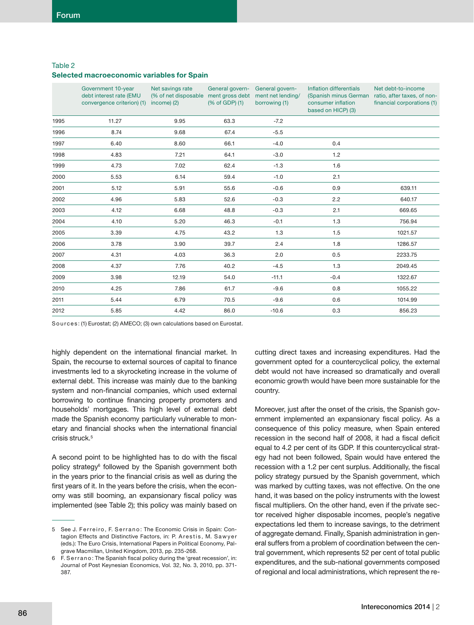### Table 2

#### **Selected macroeconomic variables for Spain**

|      | Government 10-year<br>debt interest rate (EMU<br>convergence criterion) (1) | Net savings rate<br>(% of net disposable ment gross debt<br>income) $(2)$ | General govern-<br>(% of GDP) (1) | General govern-<br>ment net lending/<br>borrowing (1) | Inflation differentials<br>(Spanish minus German<br>consumer inflation<br>based on HICP) (3) | Net debt-to-income<br>ratio, after taxes, of non-<br>financial corporations (1) |
|------|-----------------------------------------------------------------------------|---------------------------------------------------------------------------|-----------------------------------|-------------------------------------------------------|----------------------------------------------------------------------------------------------|---------------------------------------------------------------------------------|
| 1995 | 11.27                                                                       | 9.95                                                                      | 63.3                              | $-7.2$                                                |                                                                                              |                                                                                 |
| 1996 | 8.74                                                                        | 9.68                                                                      | 67.4                              | $-5.5$                                                |                                                                                              |                                                                                 |
| 1997 | 6.40                                                                        | 8.60                                                                      | 66.1                              | $-4.0$                                                | 0.4                                                                                          |                                                                                 |
| 1998 | 4.83                                                                        | 7.21                                                                      | 64.1                              | $-3.0$                                                | 1.2                                                                                          |                                                                                 |
| 1999 | 4.73                                                                        | 7.02                                                                      | 62.4                              | $-1.3$                                                | 1.6                                                                                          |                                                                                 |
| 2000 | 5.53                                                                        | 6.14                                                                      | 59.4                              | $-1.0$                                                | 2.1                                                                                          |                                                                                 |
| 2001 | 5.12                                                                        | 5.91                                                                      | 55.6                              | $-0.6$                                                | 0.9                                                                                          | 639.11                                                                          |
| 2002 | 4.96                                                                        | 5.83                                                                      | 52.6                              | $-0.3$                                                | 2.2                                                                                          | 640.17                                                                          |
| 2003 | 4.12                                                                        | 6.68                                                                      | 48.8                              | $-0.3$                                                | 2.1                                                                                          | 669.65                                                                          |
| 2004 | 4.10                                                                        | 5.20                                                                      | 46.3                              | $-0.1$                                                | 1.3                                                                                          | 756.94                                                                          |
| 2005 | 3.39                                                                        | 4.75                                                                      | 43.2                              | 1.3                                                   | 1.5                                                                                          | 1021.57                                                                         |
| 2006 | 3.78                                                                        | 3.90                                                                      | 39.7                              | 2.4                                                   | 1.8                                                                                          | 1286.57                                                                         |
| 2007 | 4.31                                                                        | 4.03                                                                      | 36.3                              | 2.0                                                   | 0.5                                                                                          | 2233.75                                                                         |
| 2008 | 4.37                                                                        | 7.76                                                                      | 40.2                              | $-4.5$                                                | 1.3                                                                                          | 2049.45                                                                         |
| 2009 | 3.98                                                                        | 12.19                                                                     | 54.0                              | $-11.1$                                               | $-0.4$                                                                                       | 1322.67                                                                         |
| 2010 | 4.25                                                                        | 7.86                                                                      | 61.7                              | $-9.6$                                                | 0.8                                                                                          | 1055.22                                                                         |
| 2011 | 5.44                                                                        | 6.79                                                                      | 70.5                              | $-9.6$                                                | 0.6                                                                                          | 1014.99                                                                         |
| 2012 | 5.85                                                                        | 4.42                                                                      | 86.0                              | $-10.6$                                               | 0.3                                                                                          | 856.23                                                                          |

Sources: (1) Eurostat; (2) AMECO; (3) own calculations based on Eurostat.

highly dependent on the international financial market. In Spain, the recourse to external sources of capital to finance investments led to a skyrocketing increase in the volume of external debt. This increase was mainly due to the banking system and non-financial companies, which used external borrowing to continue financing property promoters and households' mortgages. This high level of external debt made the Spanish economy particularly vulnerable to monetary and financial shocks when the international financial crisis struck.5

A second point to be highlighted has to do with the fiscal policy strategy<sup>6</sup> followed by the Spanish government both in the years prior to the financial crisis as well as during the first years of it. In the years before the crisis, when the economy was still booming, an expansionary fiscal policy was implemented (see Table 2); this policy was mainly based on

cutting direct taxes and increasing expenditures. Had the government opted for a countercyclical policy, the external debt would not have increased so dramatically and overall economic growth would have been more sustainable for the country.

Moreover, just after the onset of the crisis, the Spanish government implemented an expansionary fiscal policy. As a consequence of this policy measure, when Spain entered recession in the second half of 2008, it had a fiscal deficit equal to 4.2 per cent of its GDP. If this countercyclical strategy had not been followed, Spain would have entered the recession with a 1.2 per cent surplus. Additionally, the fiscal policy strategy pursued by the Spanish government, which was marked by cutting taxes, was not effective. On the one hand, it was based on the policy instruments with the lowest fiscal multipliers. On the other hand, even if the private sector received higher disposable incomes, people's negative expectations led them to increase savings, to the detriment of aggregate demand. Finally, Spanish administration in general suffers from a problem of coordination between the central government, which represents 52 per cent of total public expenditures, and the sub-national governments composed of regional and local administrations, which represent the re-

<sup>5</sup> See J. Ferreiro, F. Serrano: The Economic Crisis in Spain: Contagion Effects and Distinctive Factors, in: P. Arestis, M. Sawyer (eds.): The Euro Crisis, International Papers in Political Economy, Palgrave Macmillan, United Kingdom, 2013, pp. 235-268.

<sup>6</sup> F. Serrano: The Spanish fiscal policy during the 'great recession', in: Journal of Post Keynesian Economics, Vol. 32, No. 3, 2010, pp. 371- 387.